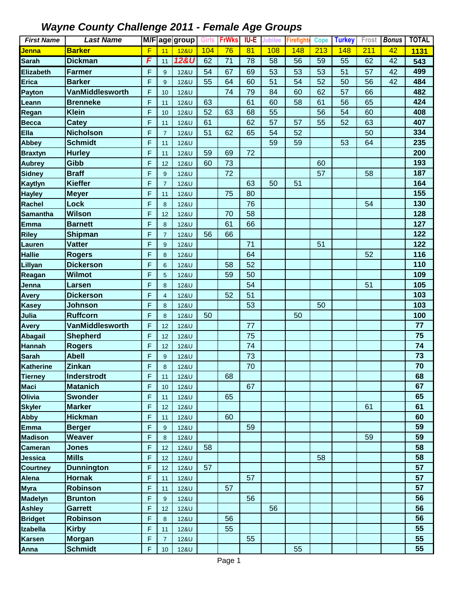| <b>First Name</b> | <b>Last Name</b>  |   |                         | M/F age group   | Girls | <b>FrWks</b> | IU-E            | <b>Jubilee</b> | Firefight | <b>Cope</b> | <b>Turkey</b> | Frost | <b>Bonus</b> | <b>TOTAL</b> |
|-------------------|-------------------|---|-------------------------|-----------------|-------|--------------|-----------------|----------------|-----------|-------------|---------------|-------|--------------|--------------|
| <u>Jenna</u>      | <b>Barker</b>     | F | 11                      | <b>12&amp;U</b> | 104   | 76           | $\overline{81}$ | 108            | 148       | 213         | 148           | 211   | 42           | 1131         |
| <b>Sarah</b>      | <b>Dickman</b>    | F | 11                      | <b>12&amp;U</b> | 62    | 71           | 78              | 58             | 56        | 59          | 55            | 62    | 42           | 543          |
| <b>Elizabeth</b>  | <b>Farmer</b>     | F | 9                       | 12&U            | 54    | 67           | 69              | 53             | 53        | 53          | 51            | 57    | 42           | 499          |
| <b>Erica</b>      | <b>Barker</b>     | F | 9                       | 12&U            | 55    | 64           | 60              | 51             | 54        | 52          | 50            | 56    | 42           | 484          |
| Payton            | VanMiddlesworth   | F | 10                      | 12&U            |       | 74           | 79              | 84             | 60        | 62          | 57            | 66    |              | 482          |
| Leann             | <b>Brenneke</b>   | F | 11                      | 12&U            | 63    |              | 61              | 60             | 58        | 61          | 56            | 65    |              | 424          |
| Regan             | <b>Klein</b>      | F | 10                      | 12&U            | 52    | 63           | 68              | 55             |           | 56          | 54            | 60    |              | 408          |
| <b>Becca</b>      | <b>Catey</b>      | F | 11                      | 12&U            | 61    |              | 62              | 57             | 57        | 55          | 52            | 63    |              | 407          |
| <b>Ella</b>       | <b>Nicholson</b>  | F | $\overline{7}$          | 12&U            | 51    | 62           | 65              | 54             | 52        |             |               | 50    |              | 334          |
| <b>Abbey</b>      | <b>Schmidt</b>    | F | 11                      | 12&U            |       |              |                 | 59             | 59        |             | 53            | 64    |              | 235          |
| <b>Braxtyn</b>    | <b>Hurley</b>     | F | 11                      | 12&U            | 59    | 69           | 72              |                |           |             |               |       |              | 200          |
| <b>Aubrey</b>     | Gibb              | F | 12                      | 12&U            | 60    | 73           |                 |                |           | 60          |               |       |              | 193          |
| <b>Sidney</b>     | <b>Braff</b>      | F | 9                       | 12&U            |       | 72           |                 |                |           | 57          |               | 58    |              | 187          |
| Kaytlyn           | <b>Kieffer</b>    | F | $\overline{7}$          | 12&U            |       |              | 63              | 50             | 51        |             |               |       |              | 164          |
| <b>Hayley</b>     | <b>Meyer</b>      | F | 11                      | 12&U            |       | 75           | 80              |                |           |             |               |       |              | 155          |
| <b>Rachel</b>     | <b>Lock</b>       | F | 8                       | 12&U            |       |              | 76              |                |           |             |               | 54    |              | 130          |
| <b>Samantha</b>   | <b>Wilson</b>     | F | 12                      | 12&U            |       | 70           | 58              |                |           |             |               |       |              | 128          |
| <b>Emma</b>       | <b>Barnett</b>    | F | 8                       | 12&U            |       | 61           | 66              |                |           |             |               |       |              | 127          |
| <b>Riley</b>      | <b>Shipman</b>    | F | $\overline{7}$          | 12&U            | 56    | 66           |                 |                |           |             |               |       |              | 122          |
| Lauren            | <b>Vatter</b>     | F | $\boldsymbol{9}$        | 12&U            |       |              | 71              |                |           | 51          |               |       |              | 122          |
| <b>Hallie</b>     | <b>Rogers</b>     | F | 8                       | 12&U            |       |              | 64              |                |           |             |               | 52    |              | 116          |
| Lillyan           | <b>Dickerson</b>  | F | 6                       | 12&U            |       | 58           | 52              |                |           |             |               |       |              | 110          |
| Reagan            | <b>Wilmot</b>     | F | 5                       | 12&U            |       | 59           | 50              |                |           |             |               |       |              | 109          |
| Jenna             | Larsen            | F | 8                       | 12&U            |       |              | 54              |                |           |             |               | 51    |              | 105          |
| <b>Avery</b>      | <b>Dickerson</b>  | F | $\overline{\mathbf{4}}$ | 12&U            |       | 52           | 51              |                |           |             |               |       |              | 103          |
| <b>Kasey</b>      | <b>Johnson</b>    | F | 8                       | 12&U            |       |              | 53              |                |           | 50          |               |       |              | 103          |
| Julia             | Ruffcorn          | F | 8                       | 12&U            | 50    |              |                 |                | 50        |             |               |       |              | 100          |
| <b>Avery</b>      | VanMiddlesworth   | F | 12                      | 12&U            |       |              | 77              |                |           |             |               |       |              | 77           |
| <b>Abagail</b>    | <b>Shepherd</b>   | F | 12                      | 12&U            |       |              | 75              |                |           |             |               |       |              | 75           |
| <b>Hannah</b>     | <b>Rogers</b>     | F | 12                      | 12&U            |       |              | 74              |                |           |             |               |       |              | 74           |
| <b>Sarah</b>      | <b>Abell</b>      | F | 9                       | 12&U            |       |              | 73              |                |           |             |               |       |              | 73           |
| <b>Katherine</b>  | <b>Zinkan</b>     | F | 8                       | 12&U            |       |              | 70              |                |           |             |               |       |              | 70           |
| <b>Tierney</b>    | Inderstrodt       | F | 11                      | 12&U            |       | 68           |                 |                |           |             |               |       |              | 68           |
| <b>Maci</b>       | <b>Matanich</b>   | F | 10                      | 12&U            |       |              | 67              |                |           |             |               |       |              | 67           |
| Olivia            | <b>Swonder</b>    | F | 11                      | 12&U            |       | 65           |                 |                |           |             |               |       |              | 65           |
| <b>Skyler</b>     | <b>Marker</b>     | F | 12                      | 12&U            |       |              |                 |                |           |             |               | 61    |              | 61           |
| <b>Abby</b>       | <b>Hickman</b>    | F | 11                      | 12&U            |       | 60           |                 |                |           |             |               |       |              | 60           |
| <b>Emma</b>       | <b>Berger</b>     | F | 9                       | 12&U            |       |              | 59              |                |           |             |               |       |              | 59           |
| <b>Madison</b>    | <b>Weaver</b>     | F | 8                       | 12&U            |       |              |                 |                |           |             |               | 59    |              | 59           |
| <b>Cameran</b>    | <b>Jones</b>      | F | 12                      | 12&U            | 58    |              |                 |                |           |             |               |       |              | 58           |
| Jessica           | <b>Mills</b>      | F | 12                      | 12&U            |       |              |                 |                |           | 58          |               |       |              | 58           |
| <b>Courtney</b>   | <b>Dunnington</b> | F | 12                      | 12&U            | 57    |              |                 |                |           |             |               |       |              | 57           |
| <b>Alena</b>      | <b>Hornak</b>     | F | 11                      | 12&U            |       |              | 57              |                |           |             |               |       |              | 57           |
| <b>Myra</b>       | <b>Robinson</b>   | F | 11                      | <b>12&amp;U</b> |       | 57           |                 |                |           |             |               |       |              | 57           |
| <b>Madelyn</b>    | <b>Brunton</b>    | F | 9                       | 12&U            |       |              | 56              |                |           |             |               |       |              | 56           |
| <b>Ashley</b>     | <b>Garrett</b>    | F | 12                      | 12&U            |       |              |                 | 56             |           |             |               |       |              | 56           |
| <b>Bridget</b>    | <b>Robinson</b>   | F | 8                       | 12&U            |       | 56           |                 |                |           |             |               |       |              | 56           |
| <b>Izabella</b>   | <b>Kirby</b>      | F | 11                      | 12&U            |       | 55           |                 |                |           |             |               |       |              | 55           |
| <b>Karsen</b>     | <b>Morgan</b>     | F | $\overline{7}$          | 12&U            |       |              | 55              |                |           |             |               |       |              | 55           |
| Anna              | <b>Schmidt</b>    | F | 10                      | 12&U            |       |              |                 |                | 55        |             |               |       |              | 55           |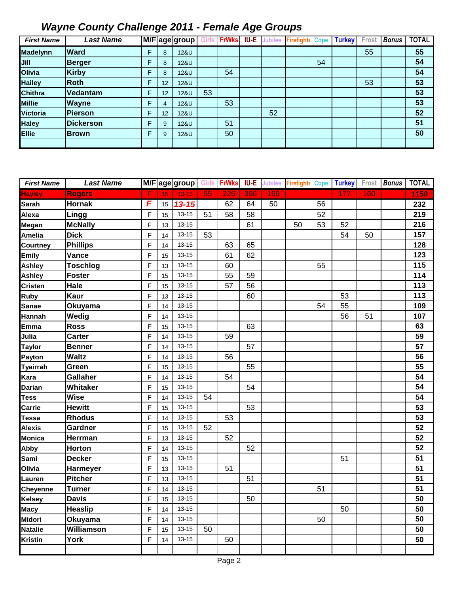| <b>First Name</b> | <b>Last Name</b> |   |    | M/F age group   |    | <b>FrWks</b> | IU-E | <b>Jubilee</b> | Firefight | <b>Cope</b> | <b>Turkey</b> | Frost | <b>Bonus</b> | <b>TOTAL</b> |
|-------------------|------------------|---|----|-----------------|----|--------------|------|----------------|-----------|-------------|---------------|-------|--------------|--------------|
| <b>Madelynn</b>   | <b>Ward</b>      | F | 8  | <b>12&amp;U</b> |    |              |      |                |           |             |               | 55    |              | 55           |
| Jill              | <b>Berger</b>    | F | 8  | 12&U            |    |              |      |                |           | 54          |               |       |              | 54           |
| <b>Olivia</b>     | <b>Kirby</b>     | F | 8  | 12&U            |    | 54           |      |                |           |             |               |       |              | 54           |
| <b>Hailey</b>     | Roth             | F | 12 | 12&U            |    |              |      |                |           |             |               | 53    |              | 53           |
| <b>Chithra</b>    | Vedantam         | F | 12 | 12&U            | 53 |              |      |                |           |             |               |       |              | 53           |
| <b>Millie</b>     | <b>Wayne</b>     | F | 4  | 12&U            |    | 53           |      |                |           |             |               |       |              | 53           |
| Victoria          | <b>IPierson</b>  | F | 12 | <b>12&amp;U</b> |    |              |      | 52             |           |             |               |       |              | 52           |
| <b>Haley</b>      | <b>Dickerson</b> | F | 9  | 12&U            |    | 51           |      |                |           |             |               |       |              | 51           |
| <b>Ellie</b>      | <b>Brown</b>     | F | 9  | <b>12&amp;U</b> |    | 50           |      |                |           |             |               |       |              | 50           |
|                   |                  |   |    |                 |    |              |      |                |           |             |               |       |              |              |

| <b>First Name</b> | <b>Last Name</b> |                |    | M/F age group Girls FrWks |    |     |     |     | <b>IU-E</b> Jubilee Firefighte Cope |                 | <b>Turkey</b> |     | Frost <b>Bonus</b> | <b>TOTAL</b> |
|-------------------|------------------|----------------|----|---------------------------|----|-----|-----|-----|-------------------------------------|-----------------|---------------|-----|--------------------|--------------|
| <b>Hayley</b>     | <b>Rogers</b>    | F              | 15 | $13 - 15$                 | 55 | 226 | 366 | 166 |                                     |                 | 177           | 160 |                    | 1150         |
| <b>Sarah</b>      | <b>Hornak</b>    | F              | 15 | $13 - 15$                 |    | 62  | 64  | 50  |                                     | $\overline{56}$ |               |     |                    | 232          |
| Alexa             | Lingg            | $\mathsf F$    | 15 | $13 - 15$                 | 51 | 58  | 58  |     |                                     | 52              |               |     |                    | 219          |
| Megan             | <b>McNally</b>   | $\mathsf{F}$   | 13 | $13 - 15$                 |    |     | 61  |     | 50                                  | 53              | 52            |     |                    | 216          |
| <b>Amelia</b>     | <b>Dick</b>      | $\mathsf{F}$   | 14 | $13 - 15$                 | 53 |     |     |     |                                     |                 | 54            | 50  |                    | 157          |
| Courtney          | <b>Phillips</b>  | $\mathsf{F}$   | 14 | $13 - 15$                 |    | 63  | 65  |     |                                     |                 |               |     |                    | 128          |
| <b>Emily</b>      | Vance            | $\mathsf{F}$   | 15 | $13 - 15$                 |    | 61  | 62  |     |                                     |                 |               |     |                    | 123          |
| Ashley            | <b>Toschlog</b>  | $\mathsf F$    | 13 | $13 - 15$                 |    | 60  |     |     |                                     | 55              |               |     |                    | 115          |
| Ashley            | <b>Foster</b>    | $\mathsf F$    | 15 | $13 - 15$                 |    | 55  | 59  |     |                                     |                 |               |     |                    | 114          |
| <b>Cristen</b>    | Hale             | $\mathsf{F}$   | 15 | 13-15                     |    | 57  | 56  |     |                                     |                 |               |     |                    | 113          |
| Ruby              | Kaur             | $\mathsf{F}$   | 13 | $13 - 15$                 |    |     | 60  |     |                                     |                 | 53            |     |                    | 113          |
| <b>Sanae</b>      | Okuyama          | $\overline{F}$ | 14 | $13 - 15$                 |    |     |     |     |                                     | 54              | 55            |     |                    | 109          |
| Hannah            | Wedig            | $\mathsf{F}$   | 14 | $13 - 15$                 |    |     |     |     |                                     |                 | 56            | 51  |                    | 107          |
| <b>Emma</b>       | <b>Ross</b>      | $\mathsf{F}$   | 15 | $13 - 15$                 |    |     | 63  |     |                                     |                 |               |     |                    | 63           |
| Julia             | <b>Carter</b>    | $\mathsf{F}$   | 14 | $13 - 15$                 |    | 59  |     |     |                                     |                 |               |     |                    | 59           |
| <b>Taylor</b>     | <b>Benner</b>    | $\mathsf{F}$   | 14 | $13 - 15$                 |    |     | 57  |     |                                     |                 |               |     |                    | 57           |
| Payton            | <b>Waltz</b>     | F              | 14 | $13 - 15$                 |    | 56  |     |     |                                     |                 |               |     |                    | 56           |
| <b>Tyairrah</b>   | Green            | F              | 15 | $13 - 15$                 |    |     | 55  |     |                                     |                 |               |     |                    | 55           |
| Kara              | <b>Gallaher</b>  | F              | 14 | $13 - 15$                 |    | 54  |     |     |                                     |                 |               |     |                    | 54           |
| <b>Darian</b>     | Whitaker         | F              | 15 | $13 - 15$                 |    |     | 54  |     |                                     |                 |               |     |                    | 54           |
| <b>Tess</b>       | <b>Wise</b>      | F              | 14 | $13 - 15$                 | 54 |     |     |     |                                     |                 |               |     |                    | 54           |
| Carrie            | <b>Hewitt</b>    | F              | 15 | $13 - 15$                 |    |     | 53  |     |                                     |                 |               |     |                    | 53           |
| <b>Tessa</b>      | <b>Rhodus</b>    | F              | 14 | $13 - 15$                 |    | 53  |     |     |                                     |                 |               |     |                    | 53           |
| <b>Alexis</b>     | Gardner          | F              | 15 | $13 - 15$                 | 52 |     |     |     |                                     |                 |               |     |                    | 52           |
| Monica            | Herrman          | F              | 13 | $13 - 15$                 |    | 52  |     |     |                                     |                 |               |     |                    | 52           |
| Abby              | Horton           | $\mathsf{F}$   | 14 | $13 - 15$                 |    |     | 52  |     |                                     |                 |               |     |                    | 52           |
| Sami              | <b>Decker</b>    | $\mathsf{F}$   | 15 | $13 - 15$                 |    |     |     |     |                                     |                 | 51            |     |                    | 51           |
| Olivia            | Harmeyer         | $\overline{F}$ | 13 | $13 - 15$                 |    | 51  |     |     |                                     |                 |               |     |                    | 51           |
| Lauren            | <b>Pitcher</b>   | $\overline{F}$ | 13 | $13 - 15$                 |    |     | 51  |     |                                     |                 |               |     |                    | 51           |
| Cheyenne          | <b>Turner</b>    | $\overline{F}$ | 14 | $13 - 15$                 |    |     |     |     |                                     | 51              |               |     |                    | 51           |
| <b>Kelsey</b>     | <b>Davis</b>     | F              | 15 | $13 - 15$                 |    |     | 50  |     |                                     |                 |               |     |                    | 50           |
| <b>Macy</b>       | <b>Heaslip</b>   | F              | 14 | $13 - 15$                 |    |     |     |     |                                     |                 | 50            |     |                    | 50           |
| Midori            | Okuyama          | F              | 14 | $13 - 15$                 |    |     |     |     |                                     | 50              |               |     |                    | 50           |
| Natalie           | Williamson       | F              | 15 | $13 - 15$                 | 50 |     |     |     |                                     |                 |               |     |                    | 50           |
| <b>Kristin</b>    | York             | F              | 14 | $13 - 15$                 |    | 50  |     |     |                                     |                 |               |     |                    | 50           |
|                   |                  |                |    |                           |    |     |     |     |                                     |                 |               |     |                    |              |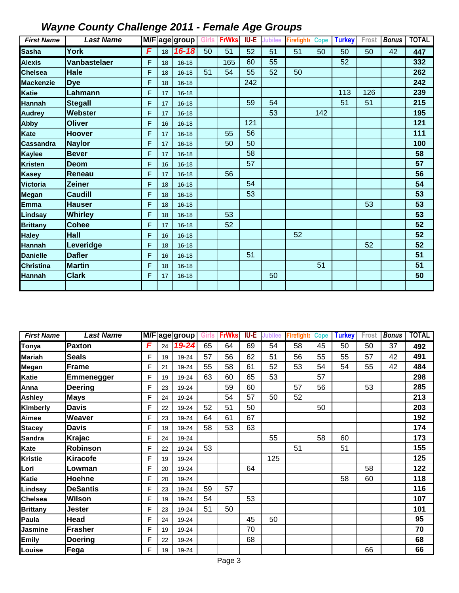| <b>First Name</b> | <b>Last Name</b>    |   |    | M/F age group Girls |    | <b>FrWks</b> | IU-E | <b>Jubilee</b> | <b>Firefighte</b> | <b>Cope</b> | <b>Turkey</b> | Frost | <b>Bonus</b> | <b>TOTAL</b> |
|-------------------|---------------------|---|----|---------------------|----|--------------|------|----------------|-------------------|-------------|---------------|-------|--------------|--------------|
| <b>Sasha</b>      | York                | F | 18 | $16 - 18$           | 50 | 51           | 52   | 51             | 51                | 50          | 50            | 50    | 42           | 447          |
| <b>Alexis</b>     | <b>Vanbastelaer</b> | F | 18 | $16 - 18$           |    | 165          | 60   | 55             |                   |             | 52            |       |              | 332          |
| <b>Chelsea</b>    | Hale                | F | 18 | $16 - 18$           | 51 | 54           | 55   | 52             | 50                |             |               |       |              | 262          |
| <b>Mackenzie</b>  | <b>Dye</b>          | F | 18 | $16 - 18$           |    |              | 242  |                |                   |             |               |       |              | 242          |
| <b>Katie</b>      | Lahmann             | F | 17 | $16 - 18$           |    |              |      |                |                   |             | 113           | 126   |              | 239          |
| <b>Hannah</b>     | <b>Stegall</b>      | F | 17 | $16 - 18$           |    |              | 59   | 54             |                   |             | 51            | 51    |              | 215          |
| <b>Audrey</b>     | <b>Webster</b>      | F | 17 | $16 - 18$           |    |              |      | 53             |                   | 142         |               |       |              | 195          |
| <b>Abby</b>       | <b>Oliver</b>       | F | 16 | $16 - 18$           |    |              | 121  |                |                   |             |               |       |              | 121          |
| Kate              | <b>Hoover</b>       | F | 17 | $16 - 18$           |    | 55           | 56   |                |                   |             |               |       |              | 111          |
| <b>Cassandra</b>  | <b>Naylor</b>       | F | 17 | $16 - 18$           |    | 50           | 50   |                |                   |             |               |       |              | 100          |
| <b>Kaylee</b>     | <b>Bever</b>        | F | 17 | $16 - 18$           |    |              | 58   |                |                   |             |               |       |              | 58           |
| <b>Kristen</b>    | <b>Deom</b>         | F | 16 | $16 - 18$           |    |              | 57   |                |                   |             |               |       |              | 57           |
| <b>Kasey</b>      | Reneau              | F | 17 | $16 - 18$           |    | 56           |      |                |                   |             |               |       |              | 56           |
| <b>Victoria</b>   | <b>Zeiner</b>       | F | 18 | $16 - 18$           |    |              | 54   |                |                   |             |               |       |              | 54           |
| <b>Megan</b>      | <b>Caudill</b>      | F | 18 | $16 - 18$           |    |              | 53   |                |                   |             |               |       |              | 53           |
| <b>Emma</b>       | <b>Hauser</b>       | F | 18 | $16 - 18$           |    |              |      |                |                   |             |               | 53    |              | 53           |
| Lindsay           | <b>Whirley</b>      | F | 18 | $16 - 18$           |    | 53           |      |                |                   |             |               |       |              | 53           |
| <b>Brittany</b>   | <b>Cohee</b>        | F | 17 | $16 - 18$           |    | 52           |      |                |                   |             |               |       |              | 52           |
| <b>Haley</b>      | Hall                | F | 16 | $16 - 18$           |    |              |      |                | 52                |             |               |       |              | 52           |
| <b>Hannah</b>     | Leveridge           | F | 18 | $16 - 18$           |    |              |      |                |                   |             |               | 52    |              | 52           |
| <b>Danielle</b>   | <b>Dafler</b>       | F | 16 | $16 - 18$           |    |              | 51   |                |                   |             |               |       |              | 51           |
| <b>Christina</b>  | <b>Martin</b>       | F | 18 | $16 - 18$           |    |              |      |                |                   | 51          |               |       |              | 51           |
| <b>Hannah</b>     | <b>Clark</b>        | F | 17 | $16 - 18$           |    |              |      | 50             |                   |             |               |       |              | 50           |
|                   |                     |   |    |                     |    |              |      |                |                   |             |               |       |              |              |

| <b>First Name</b> | <b>Last Name</b> |   |    | M/Fage group | Girls | <b>FrWks</b> | IU-E | Jubilee | <b>Firefight</b> | <b>Cope</b> | <b>Turkey</b> | Frost | <b>Bonus</b> | <b>TOTAL</b> |
|-------------------|------------------|---|----|--------------|-------|--------------|------|---------|------------------|-------------|---------------|-------|--------------|--------------|
| Tonya             | Paxton           | F | 24 | 19-24        | 65    | 64           | 69   | 54      | 58               | 45          | 50            | 50    | 37           | 492          |
| Mariah            | <b>Seals</b>     | F | 19 | 19-24        | 57    | 56           | 62   | 51      | 56               | 55          | 55            | 57    | 42           | 491          |
| Megan             | Frame            | F | 21 | 19-24        | 55    | 58           | 61   | 52      | 53               | 54          | 54            | 55    | 42           | 484          |
| Katie             | Emmenegger       | F | 19 | 19-24        | 63    | 60           | 65   | 53      |                  | 57          |               |       |              | 298          |
| Anna              | <b>Deering</b>   | F | 23 | 19-24        |       | 59           | 60   |         | 57               | 56          |               | 53    |              | 285          |
| Ashley            | <b>Mays</b>      | F | 24 | 19-24        |       | 54           | 57   | 50      | 52               |             |               |       |              | 213          |
| Kimberly          | <b>Davis</b>     | E | 22 | 19-24        | 52    | 51           | 50   |         |                  | 50          |               |       |              | 203          |
| Aimee             | Weaver           | F | 23 | 19-24        | 64    | 61           | 67   |         |                  |             |               |       |              | 192          |
| <b>Stacey</b>     | <b>Davis</b>     | F | 19 | 19-24        | 58    | 53           | 63   |         |                  |             |               |       |              | 174          |
| Sandra            | <b>Krajac</b>    | E | 24 | 19-24        |       |              |      | 55      |                  | 58          | 60            |       |              | 173          |
| Kate              | <b>Robinson</b>  | F | 22 | 19-24        | 53    |              |      |         | 51               |             | 51            |       |              | 155          |
| Kristie           | <b>Kiracofe</b>  | F | 19 | 19-24        |       |              |      | 125     |                  |             |               |       |              | 125          |
| Lori              | Lowman           | E | 20 | 19-24        |       |              | 64   |         |                  |             |               | 58    |              | 122          |
| Katie             | Hoehne           | F | 20 | 19-24        |       |              |      |         |                  |             | 58            | 60    |              | 118          |
| Lindsay           | <b>DeSantis</b>  | F | 23 | 19-24        | 59    | 57           |      |         |                  |             |               |       |              | 116          |
| Chelsea           | Wilson           | F | 19 | 19-24        | 54    |              | 53   |         |                  |             |               |       |              | 107          |
| Brittany          | Jester           | F | 23 | 19-24        | 51    | 50           |      |         |                  |             |               |       |              | 101          |
| Paula             | Head             | F | 24 | 19-24        |       |              | 45   | 50      |                  |             |               |       |              | 95           |
| Jasmine           | <b>Frasher</b>   | F | 19 | 19-24        |       |              | 70   |         |                  |             |               |       |              | 70           |
| <b>Emily</b>      | <b>Doering</b>   | E | 22 | 19-24        |       |              | 68   |         |                  |             |               |       |              | 68           |
| Louise            | Fega             | F | 19 | 19-24        |       |              |      |         |                  |             |               | 66    |              | 66           |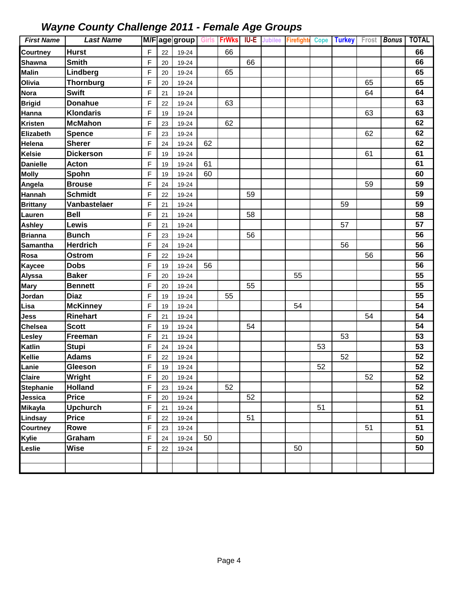| <b>First Name</b> | <b>Last Name</b> |   |    | M/Fage group | <b>Girls</b> | <b>FrWks</b> | <b>IU-E</b> | <b>Jubilee</b> | Firefight |    | Cope Turkey |    | Frost Bonus | <b>TOTAL</b> |
|-------------------|------------------|---|----|--------------|--------------|--------------|-------------|----------------|-----------|----|-------------|----|-------------|--------------|
| Courtney          | <b>Hurst</b>     | F | 22 | 19-24        |              | 66           |             |                |           |    |             |    |             | 66           |
| <b>Shawna</b>     | <b>Smith</b>     | F | 20 | 19-24        |              |              | 66          |                |           |    |             |    |             | 66           |
| <b>Malin</b>      | Lindberg         | F | 20 | 19-24        |              | 65           |             |                |           |    |             |    |             | 65           |
| Olivia            | <b>Thornburg</b> | F | 20 | 19-24        |              |              |             |                |           |    |             | 65 |             | 65           |
| Nora              | <b>Swift</b>     | F | 21 | 19-24        |              |              |             |                |           |    |             | 64 |             | 64           |
| <b>Brigid</b>     | <b>Donahue</b>   | F | 22 | 19-24        |              | 63           |             |                |           |    |             |    |             | 63           |
| Hanna             | <b>Klondaris</b> | F | 19 | 19-24        |              |              |             |                |           |    |             | 63 |             | 63           |
| <b>Kristen</b>    | <b>McMahon</b>   | F | 23 | 19-24        |              | 62           |             |                |           |    |             |    |             | 62           |
| Elizabeth         | <b>Spence</b>    | F | 23 | 19-24        |              |              |             |                |           |    |             | 62 |             | 62           |
| Helena            | <b>Sherer</b>    | F | 24 | 19-24        | 62           |              |             |                |           |    |             |    |             | 62           |
| <b>Kelsie</b>     | <b>Dickerson</b> | F | 19 | 19-24        |              |              |             |                |           |    |             | 61 |             | 61           |
| <b>Danielle</b>   | <b>Acton</b>     | F | 19 | 19-24        | 61           |              |             |                |           |    |             |    |             | 61           |
| <b>Molly</b>      | Spohn            | F | 19 | 19-24        | 60           |              |             |                |           |    |             |    |             | 60           |
| Angela            | <b>Brouse</b>    | F | 24 | 19-24        |              |              |             |                |           |    |             | 59 |             | 59           |
| Hannah            | <b>Schmidt</b>   | F | 22 | 19-24        |              |              | 59          |                |           |    |             |    |             | 59           |
| <b>Brittany</b>   | Vanbastelaer     | F | 21 | 19-24        |              |              |             |                |           |    | 59          |    |             | 59           |
| Lauren            | <b>Bell</b>      | F | 21 | 19-24        |              |              | 58          |                |           |    |             |    |             | 58           |
| <b>Ashley</b>     | Lewis            | F | 21 | 19-24        |              |              |             |                |           |    | 57          |    |             | 57           |
| <b>Brianna</b>    | <b>Bunch</b>     | F | 23 | 19-24        |              |              | 56          |                |           |    |             |    |             | 56           |
| <b>Samantha</b>   | <b>Herdrich</b>  | F | 24 | 19-24        |              |              |             |                |           |    | 56          |    |             | 56           |
| Rosa              | <b>Ostrom</b>    | F | 22 | 19-24        |              |              |             |                |           |    |             | 56 |             | 56           |
| <b>Kaycee</b>     | <b>Dobs</b>      | F | 19 | 19-24        | 56           |              |             |                |           |    |             |    |             | 56           |
| Alyssa            | <b>Baker</b>     | F | 20 | 19-24        |              |              |             |                | 55        |    |             |    |             | 55           |
| Mary              | <b>Bennett</b>   | F | 20 | 19-24        |              |              | 55          |                |           |    |             |    |             | 55           |
| Jordan            | <b>Diaz</b>      | F | 19 | 19-24        |              | 55           |             |                |           |    |             |    |             | 55           |
| Lisa              | <b>McKinney</b>  | F | 19 | 19-24        |              |              |             |                | 54        |    |             |    |             | 54           |
| Jess              | Rinehart         | F | 21 | 19-24        |              |              |             |                |           |    |             | 54 |             | 54           |
| <b>Chelsea</b>    | <b>Scott</b>     | F | 19 | 19-24        |              |              | 54          |                |           |    |             |    |             | 54           |
| <b>Lesley</b>     | Freeman          | F | 21 | 19-24        |              |              |             |                |           |    | 53          |    |             | 53           |
| Katlin            | <b>Stupi</b>     | F | 24 | 19-24        |              |              |             |                |           | 53 |             |    |             | 53           |
| Kellie            | <b>Adams</b>     | F | 22 | 19-24        |              |              |             |                |           |    | 52          |    |             | 52           |
| Lanie             | Gleeson          | F | 19 | 19-24        |              |              |             |                |           | 52 |             |    |             | 52           |
| <b>Claire</b>     | Wright           | F | 20 | 19-24        |              |              |             |                |           |    |             | 52 |             | 52           |
| <b>Stephanie</b>  | <b>Holland</b>   | F | 23 | 19-24        |              | 52           |             |                |           |    |             |    |             | 52           |
| Jessica           | Price            | F | 20 | 19-24        |              |              | 52          |                |           |    |             |    |             | 52           |
| <b>Mikayla</b>    | <b>Upchurch</b>  | F | 21 | 19-24        |              |              |             |                |           | 51 |             |    |             | 51           |
| Lindsay           | <b>Price</b>     | F | 22 | 19-24        |              |              | 51          |                |           |    |             |    |             | 51           |
| Courtney          | Rowe             | F | 23 | 19-24        |              |              |             |                |           |    |             | 51 |             | 51           |
| Kylie             | Graham           | F | 24 | 19-24        | 50           |              |             |                |           |    |             |    |             | 50           |
| Leslie            | <b>Wise</b>      | F | 22 | 19-24        |              |              |             |                | 50        |    |             |    |             | 50           |
|                   |                  |   |    |              |              |              |             |                |           |    |             |    |             |              |
|                   |                  |   |    |              |              |              |             |                |           |    |             |    |             |              |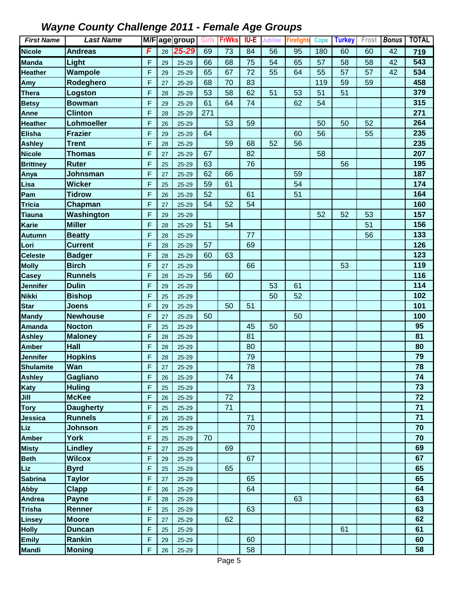| <b>First Name</b> | <b>Last Name</b> |              |    | M/F age group | Girls | <b>FrWks</b>    | IU-E | Jubilee | Firefight | <b>Cope</b> | <b>Turkey</b> | Frost | <b>Bonus</b>    | <b>TOTAL</b> |
|-------------------|------------------|--------------|----|---------------|-------|-----------------|------|---------|-----------|-------------|---------------|-------|-----------------|--------------|
| <b>Nicole</b>     | <b>Andreas</b>   | F            | 28 | 25-29         | 69    | $\overline{73}$ | 84   | 56      | 95        | 180         | 60            | 60    | $\overline{42}$ | 719          |
| Manda             | Light            | F            | 29 | $25 - 29$     | 66    | 68              | 75   | 54      | 65        | 57          | 58            | 58    | 42              | 543          |
| <b>Heather</b>    | Wampole          | F            | 29 | $25 - 29$     | 65    | 67              | 72   | 55      | 64        | 55          | 57            | 57    | 42              | 534          |
| Amy               | Rodeghero        | F            | 27 | $25 - 29$     | 68    | 70              | 83   |         |           | 119         | 59            | 59    |                 | 458          |
| <b>Thera</b>      | Logston          | F            | 28 | $25 - 29$     | 53    | 58              | 62   | 51      | 53        | 51          | 51            |       |                 | 379          |
| <b>Betsy</b>      | <b>Bowman</b>    | $\mathsf{F}$ | 29 | $25 - 29$     | 61    | 64              | 74   |         | 62        | 54          |               |       |                 | 315          |
| Anne              | <b>Clinton</b>   | F            | 28 | $25 - 29$     | 271   |                 |      |         |           |             |               |       |                 | 271          |
| <b>Heather</b>    | Lohmoeller       | F            | 26 | 25-29         |       | 53              | 59   |         |           | 50          | 50            | 52    |                 | 264          |
| <b>Elisha</b>     | <b>Frazier</b>   | F            | 29 | $25 - 29$     | 64    |                 |      |         | 60        | 56          |               | 55    |                 | 235          |
| <b>Ashley</b>     | <b>Trent</b>     | $\mathsf F$  | 28 | $25 - 29$     |       | 59              | 68   | 52      | 56        |             |               |       |                 | 235          |
| <b>Nicole</b>     | <b>Thomas</b>    | F            | 27 | $25 - 29$     | 67    |                 | 82   |         |           | 58          |               |       |                 | 207          |
| <b>Brittney</b>   | <b>Ruter</b>     | F            | 25 | $25 - 29$     | 63    |                 | 76   |         |           |             | 56            |       |                 | 195          |
| Anya              | Johnsman         | F            | 27 | $25 - 29$     | 62    | 66              |      |         | 59        |             |               |       |                 | 187          |
| Lisa              | <b>Wicker</b>    | F            | 25 | $25 - 29$     | 59    | 61              |      |         | 54        |             |               |       |                 | 174          |
| Pam               | <b>Tidrow</b>    | F            | 26 | $25 - 29$     | 52    |                 | 61   |         | 51        |             |               |       |                 | 164          |
| <b>Tricia</b>     | Chapman          | F            | 27 | $25 - 29$     | 54    | 52              | 54   |         |           |             |               |       |                 | 160          |
| <b>Tiauna</b>     | Washington       | F            | 29 | $25 - 29$     |       |                 |      |         |           | 52          | 52            | 53    |                 | 157          |
| <b>Karie</b>      | <b>Miller</b>    | F            | 28 | $25 - 29$     | 51    | 54              |      |         |           |             |               | 51    |                 | 156          |
| <b>Autumn</b>     | <b>Beatty</b>    | F            | 28 | $25 - 29$     |       |                 | 77   |         |           |             |               | 56    |                 | 133          |
| Lori              | <b>Current</b>   | F            | 28 | $25 - 29$     | 57    |                 | 69   |         |           |             |               |       |                 | 126          |
| <b>Celeste</b>    | <b>Badger</b>    | F            | 28 | $25 - 29$     | 60    | 63              |      |         |           |             |               |       |                 | 123          |
| <b>Molly</b>      | <b>Birch</b>     | F            | 27 | $25 - 29$     |       |                 | 66   |         |           |             | 53            |       |                 | 119          |
| Casey             | <b>Runnels</b>   | F            | 28 | $25 - 29$     | 56    | 60              |      |         |           |             |               |       |                 | 116          |
| Jennifer          | <b>Dulin</b>     | F            | 29 | $25 - 29$     |       |                 |      | 53      | 61        |             |               |       |                 | 114          |
| <b>Nikki</b>      | <b>Bishop</b>    | F            | 25 | 25-29         |       |                 |      | 50      | 52        |             |               |       |                 | 102          |
| <b>Star</b>       | <b>Joens</b>     | F            | 29 | $25 - 29$     |       | 50              | 51   |         |           |             |               |       |                 | 101          |
| <b>Mandy</b>      | <b>Newhouse</b>  | F            | 27 | $25 - 29$     | 50    |                 |      |         | 50        |             |               |       |                 | 100          |
| <b>Amanda</b>     | <b>Nocton</b>    | F            | 25 | 25-29         |       |                 | 45   | 50      |           |             |               |       |                 | 95           |
| <b>Ashley</b>     | <b>Maloney</b>   | $\mathsf{F}$ | 28 | 25-29         |       |                 | 81   |         |           |             |               |       |                 | 81           |
| <b>Amber</b>      | <b>Hall</b>      | F            | 28 | $25 - 29$     |       |                 | 80   |         |           |             |               |       |                 | 80           |
| Jennifer          | <b>Hopkins</b>   | F            | 28 | 25-29         |       |                 | 79   |         |           |             |               |       |                 | 79           |
| <b>Shulamite</b>  | Wan              | F            | 27 | 25-29         |       |                 | 78   |         |           |             |               |       |                 | 78           |
| <b>Ashley</b>     | Gagliano         | F            | 26 | 25-29         |       | 74              |      |         |           |             |               |       |                 | 74           |
| Katy              | <b>Huling</b>    | F            | 25 | 25-29         |       |                 | 73   |         |           |             |               |       |                 | 73           |
| Jill              | <b>McKee</b>     | F            | 26 | 25-29         |       | 72              |      |         |           |             |               |       |                 | 72           |
| <b>Tory</b>       | <b>Daugherty</b> | F            | 25 | 25-29         |       | 71              |      |         |           |             |               |       |                 | 71           |
| Jessica           | <b>Runnels</b>   | F            | 26 | 25-29         |       |                 | 71   |         |           |             |               |       |                 | 71           |
| Liz               | <b>Johnson</b>   | F            | 25 | 25-29         |       |                 | 70   |         |           |             |               |       |                 | 70           |
| <b>Amber</b>      | <b>York</b>      | F            | 25 | 25-29         | 70    |                 |      |         |           |             |               |       |                 | 70           |
| <b>Misty</b>      | <b>Lindley</b>   | F            | 27 | 25-29         |       | 69              |      |         |           |             |               |       |                 | 69           |
| <b>Beth</b>       | <b>Wilcox</b>    | F            | 29 | 25-29         |       |                 | 67   |         |           |             |               |       |                 | 67           |
| Liz               | <b>Byrd</b>      | F            | 25 | 25-29         |       | 65              |      |         |           |             |               |       |                 | 65           |
| <b>Sabrina</b>    | <b>Taylor</b>    | F            | 27 | $25 - 29$     |       |                 | 65   |         |           |             |               |       |                 | 65           |
| <b>Abby</b>       | <b>Clapp</b>     | F            | 26 | 25-29         |       |                 | 64   |         |           |             |               |       |                 | 64           |
| <b>Andrea</b>     | <b>Payne</b>     | F            | 28 | 25-29         |       |                 |      |         | 63        |             |               |       |                 | 63           |
| <b>Trisha</b>     | Renner           | F            | 25 | 25-29         |       |                 | 63   |         |           |             |               |       |                 | 63           |
| <b>Linsey</b>     | <b>Moore</b>     | F            | 27 | 25-29         |       | 62              |      |         |           |             |               |       |                 | 62<br>61     |
| <b>Holly</b>      | <b>Duncan</b>    | F            | 25 | 25-29         |       |                 |      |         |           |             | 61            |       |                 |              |
| <b>Emily</b>      | Rankin           | F            | 29 | 25-29         |       |                 | 60   |         |           |             |               |       |                 | 60           |
| <b>Mandi</b>      | <b>Moning</b>    | F            | 26 | 25-29         |       |                 | 58   |         |           |             |               |       |                 | 58           |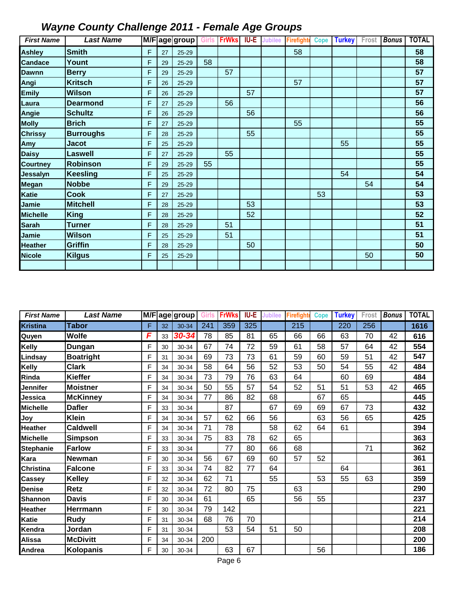| <b>First Name</b> | <b>Last Name</b> |   |    | M/F age group Girls |    | <b>FrWks</b> | <b>IU-E</b> | <b>Jubilee</b> | <b>Firefighte</b> | Cope | <b>Turkey</b> | Frost | <b>Bonus</b> | <b>TOTAL</b> |
|-------------------|------------------|---|----|---------------------|----|--------------|-------------|----------------|-------------------|------|---------------|-------|--------------|--------------|
| <b>Ashley</b>     | <b>Smith</b>     | F | 27 | 25-29               |    |              |             |                | 58                |      |               |       |              | 58           |
| <b>Candace</b>    | Yount            | F | 29 | 25-29               | 58 |              |             |                |                   |      |               |       |              | 58           |
| <b>Dawnn</b>      | <b>Berry</b>     | F | 29 | 25-29               |    | 57           |             |                |                   |      |               |       |              | 57           |
| Angi              | <b>Kritsch</b>   | F | 26 | 25-29               |    |              |             |                | 57                |      |               |       |              | 57           |
| <b>Emily</b>      | <b>Wilson</b>    | F | 26 | 25-29               |    |              | 57          |                |                   |      |               |       |              | 57           |
| Laura             | <b>Dearmond</b>  | F | 27 | 25-29               |    | 56           |             |                |                   |      |               |       |              | 56           |
| Angie             | <b>Schultz</b>   | F | 26 | 25-29               |    |              | 56          |                |                   |      |               |       |              | 56           |
| <b>Molly</b>      | <b>Brich</b>     | F | 27 | 25-29               |    |              |             |                | 55                |      |               |       |              | 55           |
| <b>Chrissy</b>    | <b>Burroughs</b> | F | 28 | 25-29               |    |              | 55          |                |                   |      |               |       |              | 55           |
| Amy               | <b>Jacot</b>     | F | 25 | 25-29               |    |              |             |                |                   |      | 55            |       |              | 55           |
| <b>Daisy</b>      | <b>Laswell</b>   | F | 27 | 25-29               |    | 55           |             |                |                   |      |               |       |              | 55           |
| <b>Courtney</b>   | <b>Robinson</b>  | F | 29 | 25-29               | 55 |              |             |                |                   |      |               |       |              | 55           |
| Jessalyn          | <b>Keesling</b>  | F | 25 | 25-29               |    |              |             |                |                   |      | 54            |       |              | 54           |
| Megan             | <b>Nobbe</b>     | F | 29 | 25-29               |    |              |             |                |                   |      |               | 54    |              | 54           |
| <b>Katie</b>      | <b>Cook</b>      | F | 27 | 25-29               |    |              |             |                |                   | 53   |               |       |              | 53           |
| Jamie             | <b>Mitchell</b>  | F | 28 | 25-29               |    |              | 53          |                |                   |      |               |       |              | 53           |
| <b>Michelle</b>   | <b>King</b>      | F | 28 | 25-29               |    |              | 52          |                |                   |      |               |       |              | 52           |
| <b>Sarah</b>      | Turner           | F | 28 | 25-29               |    | 51           |             |                |                   |      |               |       |              | 51           |
| Jamie             | <b>Wilson</b>    | F | 25 | 25-29               |    | 51           |             |                |                   |      |               |       |              | 51           |
| <b>Heather</b>    | <b>Griffin</b>   | F | 28 | 25-29               |    |              | 50          |                |                   |      |               |       |              | 50           |
| <b>Nicole</b>     | <b>Kilgus</b>    | F | 25 | 25-29               |    |              |             |                |                   |      |               | 50    |              | 50           |
|                   |                  |   |    |                     |    |              |             |                |                   |      |               |       |              |              |

| <b>First Name</b> | <b>Last Name</b> |   |    | M/F age group | Girls | <b>FrWks</b> | <b>IU-E</b> | Jubilee | <b>Firefight</b> | <b>Cope</b> | <b>Turkey</b> | Frost | <b>Bonus</b> | <b>TOTAL</b> |
|-------------------|------------------|---|----|---------------|-------|--------------|-------------|---------|------------------|-------------|---------------|-------|--------------|--------------|
| <b>Kristina</b>   | <b>Tabor</b>     | F | 32 | 30-34         | 241   | 359          | 325         |         | 215              |             | 220           | 256   |              | 1616         |
| Quyen             | Wolfe            | F | 33 | 30-34         | 78    | 85           | 81          | 65      | 66               | 66          | 63            | 70    | 42           | 616          |
| Kelly             | Dungan           | F | 30 | 30-34         | 67    | 74           | 72          | 59      | 61               | 58          | 57            | 64    | 42           | 554          |
| Lindsay           | <b>Boatright</b> | F | 31 | 30-34         | 69    | 73           | 73          | 61      | 59               | 60          | 59            | 51    | 42           | 547          |
| Kelly             | <b>Clark</b>     | F | 34 | 30-34         | 58    | 64           | 56          | 52      | 53               | 50          | 54            | 55    | 42           | 484          |
| Rinda             | <b>Kieffer</b>   | F | 34 | 30-34         | 73    | 79           | 76          | 63      | 64               |             | 60            | 69    |              | 484          |
| Jennifer          | <b>Moistner</b>  | F | 34 | 30-34         | 50    | 55           | 57          | 54      | 52               | 51          | 51            | 53    | 42           | 465          |
| Jessica           | <b>McKinney</b>  | F | 34 | 30-34         | 77    | 86           | 82          | 68      |                  | 67          | 65            |       |              | 445          |
| Michelle          | <b>Dafler</b>    | F | 33 | 30-34         |       | 87           |             | 67      | 69               | 69          | 67            | 73    |              | 432          |
| Joy               | <b>Klein</b>     | F | 34 | 30-34         | 57    | 62           | 66          | 56      |                  | 63          | 56            | 65    |              | 425          |
| <b>Heather</b>    | <b>Caldwell</b>  | F | 34 | 30-34         | 71    | 78           |             | 58      | 62               | 64          | 61            |       |              | 394          |
| Michelle          | <b>Simpson</b>   | F | 33 | 30-34         | 75    | 83           | 78          | 62      | 65               |             |               |       |              | 363          |
| <b>Stephanie</b>  | <b>Farlow</b>    | F | 33 | 30-34         |       | 77           | 80          | 66      | 68               |             |               | 71    |              | 362          |
| Kara              | <b>Newman</b>    | F | 30 | 30-34         | 56    | 67           | 69          | 60      | 57               | 52          |               |       |              | 361          |
| Christina         | <b>Falcone</b>   | F | 33 | 30-34         | 74    | 82           | 77          | 64      |                  |             | 64            |       |              | 361          |
| <b>Cassey</b>     | <b>Kelley</b>    | F | 32 | 30-34         | 62    | 71           |             | 55      |                  | 53          | 55            | 63    |              | 359          |
| Denise            | <b>Retz</b>      | F | 32 | 30-34         | 72    | 80           | 75          |         | 63               |             |               |       |              | 290          |
| Shannon           | <b>Davis</b>     | F | 30 | 30-34         | 61    |              | 65          |         | 56               | 55          |               |       |              | 237          |
| Heather           | Herrmann         | F | 30 | 30-34         | 79    | 142          |             |         |                  |             |               |       |              | 221          |
| Katie             | <b>Rudy</b>      | F | 31 | 30-34         | 68    | 76           | 70          |         |                  |             |               |       |              | 214          |
| Kendra            | Jordan           | F | 31 | 30-34         |       | 53           | 54          | 51      | 50               |             |               |       |              | 208          |
| Alissa            | <b>McDivitt</b>  | F | 34 | 30-34         | 200   |              |             |         |                  |             |               |       |              | 200          |
| Andrea            | Kolopanis        | F | 30 | 30-34         |       | 63           | 67          |         |                  | 56          |               |       |              | 186          |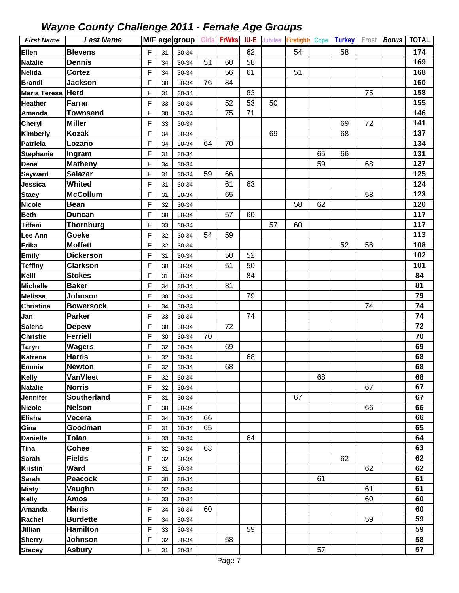| <b>First Name</b> | <b>Last Name</b> |                |    | M/F age group | <b>Girls</b> | <b>FrWks</b> | IU-E | <b>Jubilee</b> | <b>Firefighte</b> | Cope | <b>Turkey</b> | Frost | <b>Bonus</b> | <b>TOTAL</b> |
|-------------------|------------------|----------------|----|---------------|--------------|--------------|------|----------------|-------------------|------|---------------|-------|--------------|--------------|
| Ellen             | <b>Blevens</b>   | F              | 31 | 30-34         |              |              | 62   |                | 54                |      | 58            |       |              | 174          |
| <b>Natalie</b>    | <b>Dennis</b>    | F              | 34 | 30-34         | 51           | 60           | 58   |                |                   |      |               |       |              | 169          |
| Nelida            | <b>Cortez</b>    | F              | 34 | 30-34         |              | 56           | 61   |                | 51                |      |               |       |              | 168          |
| <b>Brandi</b>     | <b>Jackson</b>   | F              | 30 | 30-34         | 76           | 84           |      |                |                   |      |               |       |              | 160          |
| Maria Teresa      | <b>Herd</b>      | F              | 31 | 30-34         |              |              | 83   |                |                   |      |               | 75    |              | 158          |
| <b>Heather</b>    | Farrar           | F              | 33 | 30-34         |              | 52           | 53   | 50             |                   |      |               |       |              | 155          |
| Amanda            | <b>Townsend</b>  | F              | 30 | 30-34         |              | 75           | 71   |                |                   |      |               |       |              | 146          |
| Cheryl            | <b>Miller</b>    | F              | 33 | 30-34         |              |              |      |                |                   |      | 69            | 72    |              | 141          |
| Kimberly          | <b>Kozak</b>     | $\mathsf{F}$   | 34 | 30-34         |              |              |      | 69             |                   |      | 68            |       |              | 137          |
| <b>Patricia</b>   | Lozano           | F              | 34 | 30-34         | 64           | 70           |      |                |                   |      |               |       |              | 134          |
| <b>Stephanie</b>  | Ingram           | F              | 31 | 30-34         |              |              |      |                |                   | 65   | 66            |       |              | 131          |
| Dena              | <b>Matheny</b>   | F              | 34 | 30-34         |              |              |      |                |                   | 59   |               | 68    |              | 127          |
| Sayward           | <b>Salazar</b>   | F              | 31 | 30-34         | 59           | 66           |      |                |                   |      |               |       |              | 125          |
| Jessica           | <b>Whited</b>    | $\mathsf{F}$   | 31 | 30-34         |              | 61           | 63   |                |                   |      |               |       |              | 124          |
| <b>Stacy</b>      | <b>McCollum</b>  | F              | 31 | 30-34         |              | 65           |      |                |                   |      |               | 58    |              | 123          |
| <b>Nicole</b>     | <b>Bean</b>      | F              | 32 | 30-34         |              |              |      |                | 58                | 62   |               |       |              | 120          |
| <b>Beth</b>       | <b>Duncan</b>    | F              | 30 | 30-34         |              | 57           | 60   |                |                   |      |               |       |              | 117          |
| <b>Tiffani</b>    | <b>Thornburg</b> | F              | 33 | 30-34         |              |              |      | 57             | 60                |      |               |       |              | 117          |
| Lee Ann           | Goeke            | F              | 32 | 30-34         | 54           | 59           |      |                |                   |      |               |       |              | 113          |
| Erika             | <b>Moffett</b>   | F              | 32 | 30-34         |              |              |      |                |                   |      | 52            | 56    |              | 108          |
| <b>Emily</b>      | <b>Dickerson</b> | F              | 31 | 30-34         |              | 50           | 52   |                |                   |      |               |       |              | 102          |
| <b>Teffiny</b>    | <b>Clarkson</b>  | F              | 30 | 30-34         |              | 51           | 50   |                |                   |      |               |       |              | 101          |
| Kelli             | <b>Stokes</b>    | F              | 31 | 30-34         |              |              | 84   |                |                   |      |               |       |              | 84           |
| <b>Michelle</b>   | <b>Baker</b>     | F              | 34 | 30-34         |              | 81           |      |                |                   |      |               |       |              | 81           |
| <b>Melissa</b>    | Johnson          | F              | 30 | 30-34         |              |              | 79   |                |                   |      |               |       |              | 79           |
| <b>Christina</b>  | <b>Bowersock</b> | F              | 34 | 30-34         |              |              |      |                |                   |      |               | 74    |              | 74           |
| Jan               | <b>Parker</b>    | $\overline{F}$ | 33 | 30-34         |              |              | 74   |                |                   |      |               |       |              | 74           |
| <b>Salena</b>     | <b>Depew</b>     | F              | 30 | 30-34         |              | 72           |      |                |                   |      |               |       |              | 72           |
| <b>Christie</b>   | <b>Ferriell</b>  | F              | 30 | 30-34         | 70           |              |      |                |                   |      |               |       |              | 70           |
| <b>Taryn</b>      | <b>Wagers</b>    | F              | 32 | 30-34         |              | 69           |      |                |                   |      |               |       |              | 69           |
| <b>Katrena</b>    | <b>Harris</b>    | F              | 32 | 30-34         |              |              | 68   |                |                   |      |               |       |              | 68           |
| Emmie             | <b>Newton</b>    | F              | 32 | 30-34         |              | 68           |      |                |                   |      |               |       |              | 68           |
| Kelly             | <b>VanVleet</b>  | F              | 32 | 30-34         |              |              |      |                |                   | 68   |               |       |              | 68           |
| <b>Natalie</b>    | <b>Norris</b>    | $\mathsf F$    | 32 | 30-34         |              |              |      |                |                   |      |               | 67    |              | 67           |
| Jennifer          | Southerland      | F              | 31 | 30-34         |              |              |      |                | 67                |      |               |       |              | 67           |
| <b>Nicole</b>     | <b>Nelson</b>    | F              | 30 | 30-34         |              |              |      |                |                   |      |               | 66    |              | 66           |
| <b>Elisha</b>     | Vecera           | F              | 34 | 30-34         | 66           |              |      |                |                   |      |               |       |              | 66           |
| Gina              | Goodman          | F              | 31 | 30-34         | 65           |              |      |                |                   |      |               |       |              | 65           |
| <b>Danielle</b>   | <b>Tolan</b>     | F              | 33 | 30-34         |              |              | 64   |                |                   |      |               |       |              | 64           |
| Tina              | <b>Cohee</b>     | F              | 32 | 30-34         | 63           |              |      |                |                   |      |               |       |              | 63           |
| <b>Sarah</b>      | <b>Fields</b>    | $\mathsf F$    | 32 | 30-34         |              |              |      |                |                   |      | 62            |       |              | 62           |
| <b>Kristin</b>    | <b>Ward</b>      | F              | 31 | 30-34         |              |              |      |                |                   |      |               | 62    |              | 62           |
| <b>Sarah</b>      | <b>Peacock</b>   | F              | 30 | 30-34         |              |              |      |                |                   | 61   |               |       |              | 61           |
| <b>Misty</b>      | Vaughn           | F              | 32 | 30-34         |              |              |      |                |                   |      |               | 61    |              | 61           |
| Kelly             | <b>Amos</b>      | F              | 33 | 30-34         |              |              |      |                |                   |      |               | 60    |              | 60           |
| Amanda            | <b>Harris</b>    | F              | 34 | 30-34         | 60           |              |      |                |                   |      |               |       |              | 60           |
| Rachel            | <b>Burdette</b>  | F              | 34 | 30-34         |              |              |      |                |                   |      |               | 59    |              | 59           |
| Jillian           | <b>Hamilton</b>  | F              | 33 | 30-34         |              |              | 59   |                |                   |      |               |       |              | 59           |
| <b>Sherry</b>     | Johnson          | F              | 32 | 30-34         |              | 58           |      |                |                   |      |               |       |              | 58           |
| <b>Stacey</b>     | <b>Asbury</b>    | F              | 31 | 30-34         |              |              |      |                |                   | 57   |               |       |              | 57           |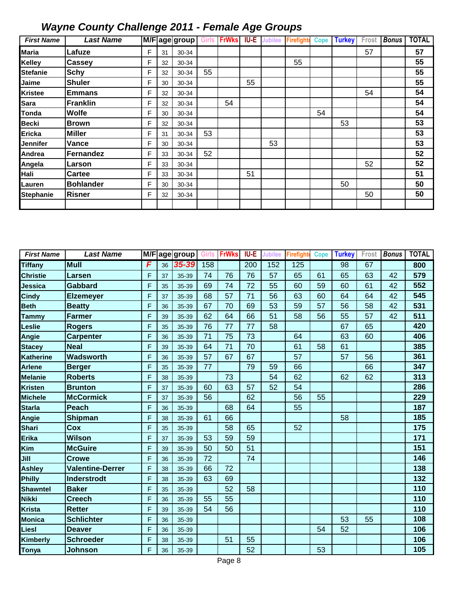| <b>First Name</b> | <b>Last Name</b> |   |    | M/Fage group | <b>Girls</b> | <b>FrWks</b> | <b>IU-E</b> | <b>Jubilee</b> | <b>Firefight</b> | Cope | <b>Turkey</b> | Frost | <b>Bonus</b> | <b>TOTAL</b> |
|-------------------|------------------|---|----|--------------|--------------|--------------|-------------|----------------|------------------|------|---------------|-------|--------------|--------------|
| <b>Maria</b>      | Lafuze           | F | 31 | 30-34        |              |              |             |                |                  |      |               | 57    |              | 57           |
| <b>Kelley</b>     | <b>Cassey</b>    | F | 32 | 30-34        |              |              |             |                | 55               |      |               |       |              | 55           |
| <b>Stefanie</b>   | <b>Schy</b>      | F | 32 | 30-34        | 55           |              |             |                |                  |      |               |       |              | 55           |
| Jaime             | <b>Shuler</b>    | F | 30 | 30-34        |              |              | 55          |                |                  |      |               |       |              | 55           |
| <b>Kristee</b>    | <b>Emmans</b>    | F | 32 | 30-34        |              |              |             |                |                  |      |               | 54    |              | 54           |
| <b>Sara</b>       | Franklin         | F | 32 | 30-34        |              | 54           |             |                |                  |      |               |       |              | 54           |
| Tonda             | <b>Wolfe</b>     | F | 30 | 30-34        |              |              |             |                |                  | 54   |               |       |              | 54           |
| <b>Becki</b>      | <b>Brown</b>     | F | 32 | 30-34        |              |              |             |                |                  |      | 53            |       |              | 53           |
| <b>Ericka</b>     | <b>Miller</b>    | F | 31 | 30-34        | 53           |              |             |                |                  |      |               |       |              | 53           |
| <b>Jennifer</b>   | Vance            | F | 30 | 30-34        |              |              |             | 53             |                  |      |               |       |              | 53           |
| Andrea            | Fernandez        | F | 33 | 30-34        | 52           |              |             |                |                  |      |               |       |              | 52           |
| Angela            | Larson           | F | 33 | 30-34        |              |              |             |                |                  |      |               | 52    |              | 52           |
| Hali              | <b>Cartee</b>    | F | 33 | 30-34        |              |              | 51          |                |                  |      |               |       |              | 51           |
| Lauren            | <b>Bohlander</b> | F | 30 | 30-34        |              |              |             |                |                  |      | 50            |       |              | 50           |
| <b>Stephanie</b>  | <b>Risner</b>    | F | 32 | 30-34        |              |              |             |                |                  |      |               | 50    |              | 50           |
|                   |                  |   |    |              |              |              |             |                |                  |      |               |       |              |              |

| <b>First Name</b> | <b>Last Name</b>        |   |    | M/Fage group | Girls | <b>FrWks</b> | <b>IU-E</b> | Jubilee | <b>Firefight</b> | <b>Cope</b> | <b>Turkey</b>   | Frost | <b>Bonus</b> | <b>TOTAL</b> |
|-------------------|-------------------------|---|----|--------------|-------|--------------|-------------|---------|------------------|-------------|-----------------|-------|--------------|--------------|
| <b>Tiffany</b>    | <b>Mull</b>             | F | 36 | $35 - 39$    | 158   |              | 200         | 152     | 125              |             | $\overline{98}$ | 67    |              | 800          |
| <b>Christie</b>   | Larsen                  | F | 37 | 35-39        | 74    | 76           | 76          | 57      | 65               | 61          | 65              | 63    | 42           | 579          |
| Jessica           | <b>Gabbard</b>          | F | 35 | 35-39        | 69    | 74           | 72          | 55      | 60               | 59          | 60              | 61    | 42           | 552          |
| <b>Cindy</b>      | <b>Elzemeyer</b>        | F | 37 | 35-39        | 68    | 57           | 71          | 56      | 63               | 60          | 64              | 64    | 42           | 545          |
| <b>Beth</b>       | <b>Beatty</b>           | F | 36 | 35-39        | 67    | 70           | 69          | 53      | 59               | 57          | 56              | 58    | 42           | 531          |
| <b>Tammy</b>      | <b>Farmer</b>           | F | 39 | 35-39        | 62    | 64           | 66          | 51      | 58               | 56          | 55              | 57    | 42           | 511          |
| Leslie            | <b>Rogers</b>           | F | 35 | 35-39        | 76    | 77           | 77          | 58      |                  |             | 67              | 65    |              | 420          |
| <b>Angie</b>      | <b>Carpenter</b>        | F | 36 | 35-39        | 71    | 75           | 73          |         | 64               |             | 63              | 60    |              | 406          |
| <b>Stacey</b>     | <b>Neal</b>             | F | 39 | 35-39        | 64    | 71           | 70          |         | 61               | 58          | 61              |       |              | 385          |
| Katherine         | Wadsworth               | F | 36 | 35-39        | 57    | 67           | 67          |         | 57               |             | 57              | 56    |              | 361          |
| <b>Arlene</b>     | <b>Berger</b>           | F | 35 | 35-39        | 77    |              | 79          | 59      | 66               |             |                 | 66    |              | 347          |
| <b>Melanie</b>    | <b>Roberts</b>          | F | 38 | 35-39        |       | 73           |             | 54      | 62               |             | 62              | 62    |              | 313          |
| <b>Kristen</b>    | <b>Brunton</b>          | F | 37 | 35-39        | 60    | 63           | 57          | 52      | 54               |             |                 |       |              | 286          |
| <b>Michele</b>    | <b>McCormick</b>        | F | 37 | 35-39        | 56    |              | 62          |         | 56               | 55          |                 |       |              | 229          |
| <b>Starla</b>     | <b>Peach</b>            | F | 36 | 35-39        |       | 68           | 64          |         | 55               |             |                 |       |              | 187          |
| Angie             | Shipman                 | F | 38 | 35-39        | 61    | 66           |             |         |                  |             | 58              |       |              | 185          |
| <b>Shari</b>      | Cox                     | F | 35 | 35-39        |       | 58           | 65          |         | 52               |             |                 |       |              | 175          |
| Erika             | <b>Wilson</b>           | F | 37 | 35-39        | 53    | 59           | 59          |         |                  |             |                 |       |              | 171          |
| Kim               | <b>McGuire</b>          | F | 39 | 35-39        | 50    | 50           | 51          |         |                  |             |                 |       |              | 151          |
| Jill              | <b>Crowe</b>            | F | 36 | 35-39        | 72    |              | 74          |         |                  |             |                 |       |              | 146          |
| Ashley            | <b>Valentine-Derrer</b> | F | 38 | 35-39        | 66    | 72           |             |         |                  |             |                 |       |              | 138          |
| Philly            | Inderstrodt             | F | 38 | 35-39        | 63    | 69           |             |         |                  |             |                 |       |              | 132          |
| <b>Shawntel</b>   | <b>Baker</b>            | F | 35 | 35-39        |       | 52           | 58          |         |                  |             |                 |       |              | 110          |
| Nikki             | <b>Creech</b>           | F | 36 | 35-39        | 55    | 55           |             |         |                  |             |                 |       |              | 110          |
| Krista            | <b>Retter</b>           | F | 39 | 35-39        | 54    | 56           |             |         |                  |             |                 |       |              | 110          |
| <b>Monica</b>     | <b>Schlichter</b>       | F | 36 | 35-39        |       |              |             |         |                  |             | 53              | 55    |              | 108          |
| Liesl             | <b>Deaver</b>           | F | 36 | 35-39        |       |              |             |         |                  | 54          | 52              |       |              | 106          |
| Kimberly          | <b>Schroeder</b>        | F | 38 | 35-39        |       | 51           | 55          |         |                  |             |                 |       |              | 106          |
| <b>Tonya</b>      | <b>Johnson</b>          | F | 36 | 35-39        |       |              | 52          |         |                  | 53          |                 |       |              | 105          |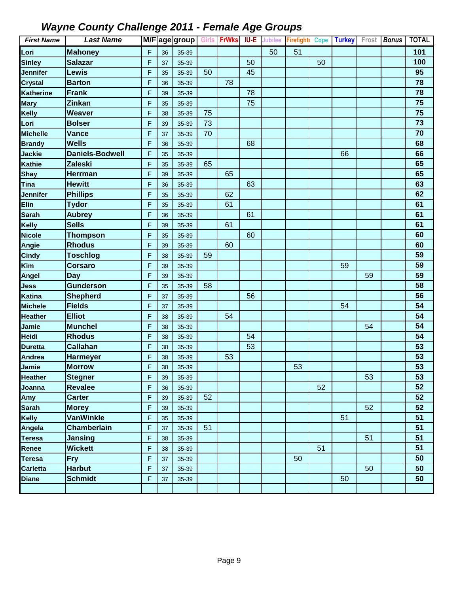| <b>First Name</b> | <b>Last Name</b>       |             |    | M/F age group Girls FrWks |    |    | IU-E | <b>Jubilee</b> | <b>Firefighte</b> | <b>Cope</b> | <b>Turkey</b> | Frost | <b>Bonus</b> | <b>TOTAL</b> |
|-------------------|------------------------|-------------|----|---------------------------|----|----|------|----------------|-------------------|-------------|---------------|-------|--------------|--------------|
| Lori              | <b>Mahoney</b>         | F           | 36 | 35-39                     |    |    |      | 50             | 51                |             |               |       |              | 101          |
| <b>Sinley</b>     | <b>Salazar</b>         | $\mathsf F$ | 37 | 35-39                     |    |    | 50   |                |                   | 50          |               |       |              | 100          |
| Jennifer          | Lewis                  | F           | 35 | 35-39                     | 50 |    | 45   |                |                   |             |               |       |              | 95           |
| <b>Crystal</b>    | <b>Barton</b>          | F           | 36 | 35-39                     |    | 78 |      |                |                   |             |               |       |              | 78           |
| Katherine         | <b>Frank</b>           | F           | 39 | 35-39                     |    |    | 78   |                |                   |             |               |       |              | 78           |
| <b>Mary</b>       | <b>Zinkan</b>          | F           | 35 | 35-39                     |    |    | 75   |                |                   |             |               |       |              | 75           |
| Kelly             | <b>Weaver</b>          | F           | 38 | 35-39                     | 75 |    |      |                |                   |             |               |       |              | 75           |
| Lori              | <b>Bolser</b>          | F           | 39 | 35-39                     | 73 |    |      |                |                   |             |               |       |              | 73           |
| <b>Michelle</b>   | <b>Vance</b>           | F           | 37 | 35-39                     | 70 |    |      |                |                   |             |               |       |              | 70           |
| <b>Brandy</b>     | <b>Wells</b>           | F           | 36 | 35-39                     |    |    | 68   |                |                   |             |               |       |              | 68           |
| Jackie            | <b>Daniels-Bodwell</b> | F           | 35 | 35-39                     |    |    |      |                |                   |             | 66            |       |              | 66           |
| Kathie            | <b>Zaleski</b>         | F           | 35 | 35-39                     | 65 |    |      |                |                   |             |               |       |              | 65           |
| Shay              | <b>Herrman</b>         | F           | 39 | 35-39                     |    | 65 |      |                |                   |             |               |       |              | 65           |
| Tina              | <b>Hewitt</b>          | F           | 36 | 35-39                     |    |    | 63   |                |                   |             |               |       |              | 63           |
| Jennifer          | <b>Phillips</b>        | F           | 35 | 35-39                     |    | 62 |      |                |                   |             |               |       |              | 62           |
| <b>Elin</b>       | <b>Tydor</b>           | F           | 35 | 35-39                     |    | 61 |      |                |                   |             |               |       |              | 61           |
| <b>Sarah</b>      | <b>Aubrey</b>          | F           | 36 | 35-39                     |    |    | 61   |                |                   |             |               |       |              | 61           |
| Kelly             | <b>Sells</b>           | F           | 39 | 35-39                     |    | 61 |      |                |                   |             |               |       |              | 61           |
| <b>Nicole</b>     | <b>Thompson</b>        | F           | 35 | 35-39                     |    |    | 60   |                |                   |             |               |       |              | 60           |
| Angie             | <b>Rhodus</b>          | F           | 39 | 35-39                     |    | 60 |      |                |                   |             |               |       |              | 60           |
| <b>Cindy</b>      | <b>Toschlog</b>        | F           | 38 | 35-39                     | 59 |    |      |                |                   |             |               |       |              | 59           |
| Kim               | <b>Corsaro</b>         | F           | 39 | 35-39                     |    |    |      |                |                   |             | 59            |       |              | 59           |
| Angel             | <b>Day</b>             | F           | 39 | 35-39                     |    |    |      |                |                   |             |               | 59    |              | 59           |
| Jess              | <b>Gunderson</b>       | F           | 35 | 35-39                     | 58 |    |      |                |                   |             |               |       |              | 58           |
| Katina            | <b>Shepherd</b>        | F           | 37 | 35-39                     |    |    | 56   |                |                   |             |               |       |              | 56           |
| <b>Michele</b>    | <b>Fields</b>          | F           | 37 | 35-39                     |    |    |      |                |                   |             | 54            |       |              | 54           |
| <b>Heather</b>    | <b>Elliot</b>          | F           | 38 | 35-39                     |    | 54 |      |                |                   |             |               |       |              | 54           |
| Jamie             | <b>Munchel</b>         | F           | 38 | 35-39                     |    |    |      |                |                   |             |               | 54    |              | 54           |
| Heidi             | <b>Rhodus</b>          | F           | 38 | 35-39                     |    |    | 54   |                |                   |             |               |       |              | 54           |
| <b>Duretta</b>    | <b>Callahan</b>        | F           | 38 | 35-39                     |    |    | 53   |                |                   |             |               |       |              | 53           |
| Andrea            | <b>Harmeyer</b>        | F           | 38 | 35-39                     |    | 53 |      |                |                   |             |               |       |              | 53           |
| Jamie             | <b>Morrow</b>          | F           | 38 | 35-39                     |    |    |      |                | 53                |             |               |       |              | 53           |
| <b>Heather</b>    | <b>Stegner</b>         | F           | 39 | 35-39                     |    |    |      |                |                   |             |               | 53    |              | 53           |
| Joanna            | <b>Revalee</b>         | F           | 36 | 35-39                     |    |    |      |                |                   | 52          |               |       |              | 52           |
| Amy               | <b>Carter</b>          | F           | 39 | 35-39                     | 52 |    |      |                |                   |             |               |       |              | 52           |
| <b>Sarah</b>      | <b>Morey</b>           | F           | 39 | 35-39                     |    |    |      |                |                   |             |               | 52    |              | 52           |
| <b>Kelly</b>      | <b>VanWinkle</b>       | F           | 35 | 35-39                     |    |    |      |                |                   |             | 51            |       |              | 51           |
| Angela            | Chamberlain            | F           | 37 | 35-39                     | 51 |    |      |                |                   |             |               |       |              | 51           |
| <b>Teresa</b>     | Jansing                | F           | 38 | 35-39                     |    |    |      |                |                   |             |               | 51    |              | 51           |
| Renee             | <b>Wickett</b>         | F           | 38 | 35-39                     |    |    |      |                |                   | 51          |               |       |              | 51           |
| Teresa            | <b>Fry</b>             | F           | 37 | 35-39                     |    |    |      |                | 50                |             |               |       |              | 50           |
| <b>Carletta</b>   | <b>Harbut</b>          | F           | 37 | 35-39                     |    |    |      |                |                   |             |               | 50    |              | 50           |
| <b>Diane</b>      | <b>Schmidt</b>         | F           | 37 | 35-39                     |    |    |      |                |                   |             | 50            |       |              | 50           |
|                   |                        |             |    |                           |    |    |      |                |                   |             |               |       |              |              |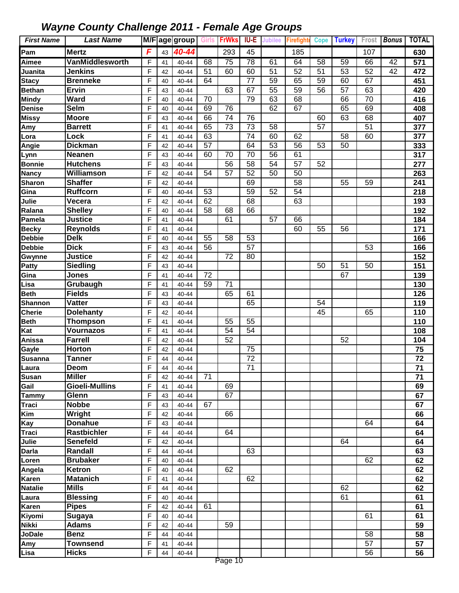| <b>First Name</b> | <b>Last Name</b>      |                |    | M/F age group   Girls |                 | <b>FrWks</b>    | IU-E            | <b>Jubilee</b>  | <b>Firefighte</b> | Cope            | <b>Turkey</b>   |                 | Frost Bonus | <b>TOTAL</b> |
|-------------------|-----------------------|----------------|----|-----------------------|-----------------|-----------------|-----------------|-----------------|-------------------|-----------------|-----------------|-----------------|-------------|--------------|
| Pam               | <b>Mertz</b>          | F              | 43 | 40-44                 |                 | 293             | 45              |                 | 185               |                 |                 | 107             |             | 630          |
| Aimee             | VanMiddlesworth       | F              | 41 | 40-44                 | 68              | 75              | $\overline{78}$ | 61              | 64                | 58              | 59              | 66              | 42          | 571          |
| Juanita           | <b>Jenkins</b>        | F              | 42 | 40-44                 | 51              | 60              | 60              | 51              | 52                | 51              | 53              | 52              | 42          | 472          |
| <b>Stacy</b>      | <b>Brenneke</b>       | $\mathsf{F}$   | 40 | 40-44                 | 64              |                 | 77              | 59              | 65                | 59              | 60              | 67              |             | 451          |
| <b>Bethan</b>     | Ervin                 | F              | 43 | 40-44                 |                 | 63              | 67              | 55              | 59                | 56              | 57              | 63              |             | 420          |
| <b>Mindy</b>      | <b>Ward</b>           | F              | 40 | 40-44                 | 70              |                 | 79              | 63              | 68                |                 | 66              | 70              |             | 416          |
| Denise            | Selm                  | F              | 40 | 40-44                 | 69              | 76              |                 | 62              | 67                |                 | 65              | 69              |             | 408          |
| Missy             | <b>Moore</b>          | $\mathsf{F}$   | 43 | 40-44                 | 66              | 74              | 76              |                 |                   | 60              | 63              | 68              |             | 407          |
| Amy               | <b>Barrett</b>        | $\mathsf{F}$   | 41 | 40-44                 | 65              | $\overline{73}$ | $\overline{73}$ | 58              |                   | $\overline{57}$ |                 | $\overline{51}$ |             | 377          |
| Lora              | Lock                  | $\mathsf{F}$   | 41 | 40-44                 | 63              |                 | 74              | 60              | 62                |                 | $\overline{58}$ | 60              |             | 377          |
| <b>Angie</b>      | <b>Dickman</b>        | F              | 42 | 40-44                 | $\overline{57}$ |                 | 64              | 53              | $\overline{56}$   | 53              | $\overline{50}$ |                 |             | 333          |
| Lynn              | Neanen                | F              | 43 | 40-44                 | 60              | 70              | $\overline{70}$ | $\overline{56}$ | 61                |                 |                 |                 |             | 317          |
| <b>Bonnie</b>     | <b>Hutchens</b>       | F              | 43 | 40-44                 |                 | $\overline{56}$ | $\overline{58}$ | $\overline{54}$ | $\overline{57}$   | 52              |                 |                 |             | 277          |
| <b>Nancy</b>      | Williamson            | F              | 42 | 40-44                 | 54              | 57              | 52              | 50              | $\overline{50}$   |                 |                 |                 |             | 263          |
| <b>Sharon</b>     | <b>Shaffer</b>        | $\mathsf{F}$   | 42 | 40-44                 |                 |                 | 69              |                 | 58                |                 | 55              | 59              |             | 241          |
| Gina              | <b>Ruffcorn</b>       | F              | 40 | 40-44                 | 53              |                 | 59              | 52              | 54                |                 |                 |                 |             | 218          |
| Julie             | Vecera                | $\mathsf{F}$   | 42 | 40-44                 | 62              |                 | 68              |                 | 63                |                 |                 |                 |             | 193          |
| Ralana            | <b>Shelley</b>        | $\mathsf{F}$   | 40 | 40-44                 | 58              | 68              | 66              |                 |                   |                 |                 |                 |             | 192          |
| Pamela            | <b>Justice</b>        | F              | 41 | 40-44                 |                 | 61              |                 | 57              | 66                |                 |                 |                 |             | 184          |
| <b>Becky</b>      | <b>Reynolds</b>       | F              | 41 | 40-44                 |                 |                 |                 |                 | 60                | 55              | 56              |                 |             | 171          |
| <b>Debbie</b>     | <b>Delk</b>           | F              | 40 | 40-44                 | 55              | 58              | 53              |                 |                   |                 |                 |                 |             | 166          |
| <b>Debbie</b>     | <b>Dick</b>           | F              | 43 | 40-44                 | 56              |                 | 57              |                 |                   |                 |                 | 53              |             | 166          |
| Gwynne            | <b>Justice</b>        | F              | 42 | 40-44                 |                 | 72              | 80              |                 |                   |                 |                 |                 |             | 152          |
| Patty             | Siedling              | F              | 43 | 40-44                 |                 |                 |                 |                 |                   | 50              | 51              | 50              |             | 151          |
| Gina              | <b>Jones</b>          | $\mathsf{F}$   | 41 | 40-44                 | 72              |                 |                 |                 |                   |                 | 67              |                 |             | 139          |
| Lisa              | Grubaugh              | $\mathsf{F}$   | 41 | 40-44                 | 59              | $\overline{71}$ |                 |                 |                   |                 |                 |                 |             | 130          |
| <b>Beth</b>       | <b>Fields</b>         | F              | 43 | 40-44                 |                 | 65              | 61              |                 |                   |                 |                 |                 |             | 126          |
| Shannon           | <b>Vatter</b>         | $\mathsf{F}$   | 43 | 40-44                 |                 |                 | 65              |                 |                   | 54              |                 |                 |             | 119          |
| <b>Cherie</b>     | <b>Dolehanty</b>      | F              | 42 | 40-44                 |                 |                 |                 |                 |                   | 45              |                 | 65              |             | 110          |
| <b>Beth</b>       | Thompson              | F              | 41 | 40-44                 |                 | 55              | 55              |                 |                   |                 |                 |                 |             | 110          |
| Kat               | <b>Vournazos</b>      | $\mathsf{F}$   | 41 | 40-44                 |                 | 54              | $\overline{54}$ |                 |                   |                 |                 |                 |             | 108          |
| Anissa            | <b>Farrell</b>        | F              | 42 | 40-44                 |                 | 52              |                 |                 |                   |                 | 52              |                 |             | 104          |
| Gayle             | <b>Horton</b>         | $\mathsf{F}$   | 42 | 40-44                 |                 |                 | 75              |                 |                   |                 |                 |                 |             | 75           |
| <b>Susanna</b>    | Tanner                | F              | 44 | 40-44                 |                 |                 | 72              |                 |                   |                 |                 |                 |             | 72           |
| Laura             | Deom                  | E              | 44 | 40-44                 |                 |                 | 71              |                 |                   |                 |                 |                 |             | 71           |
| <b>Susan</b>      | <b>Miller</b>         | F              | 42 | 40-44                 | 71              |                 |                 |                 |                   |                 |                 |                 |             | 71           |
| Gail              | <b>Gioeli-Mullins</b> | F              | 41 | 40-44                 |                 | 69              |                 |                 |                   |                 |                 |                 |             | 69           |
| <b>Tammy</b>      | Glenn                 | F              | 43 | 40-44                 |                 | 67              |                 |                 |                   |                 |                 |                 |             | 67           |
| Traci             | <b>Nobbe</b>          | F              | 43 | 40-44                 | 67              |                 |                 |                 |                   |                 |                 |                 |             | 67           |
| Kim               | Wright                | F              | 42 | 40-44                 |                 | 66              |                 |                 |                   |                 |                 |                 |             | 66           |
| Kay               | <b>Donahue</b>        | F              | 43 | 40-44                 |                 |                 |                 |                 |                   |                 |                 | 64              |             | 64           |
| Traci             | <b>Rastbichler</b>    | F              | 44 | 40-44                 |                 | 64              |                 |                 |                   |                 |                 |                 |             | 64           |
| Julie             | <b>Senefeld</b>       | $\overline{F}$ | 42 | 40-44                 |                 |                 |                 |                 |                   |                 | 64              |                 |             | 64           |
| <b>Darla</b>      | Randall               | F              | 44 | 40-44                 |                 |                 | 63              |                 |                   |                 |                 |                 |             | 63           |
| Loren             | <b>Brubaker</b>       | F              | 40 | 40-44                 |                 |                 |                 |                 |                   |                 |                 | 62              |             | 62           |
| Angela            | Ketron                | F              | 40 | 40-44                 |                 | 62              |                 |                 |                   |                 |                 |                 |             | 62           |
| Karen             | <b>Matanich</b>       | F              | 41 | 40-44                 |                 |                 | 62              |                 |                   |                 |                 |                 |             | 62           |
| <b>Natalie</b>    | <b>Mills</b>          | F              | 44 | 40-44                 |                 |                 |                 |                 |                   |                 | 62              |                 |             | 62           |
| Laura             | <b>Blessing</b>       | F              | 40 | 40-44                 |                 |                 |                 |                 |                   |                 | 61              |                 |             | 61           |
| Karen             | <b>Pipes</b>          | F              | 42 | 40-44                 | 61              |                 |                 |                 |                   |                 |                 |                 |             | 61           |
| Kiyomi            | <b>Sugaya</b>         | F              | 40 | 40-44                 |                 |                 |                 |                 |                   |                 |                 | 61              |             | 61           |
| Nikki             | <b>Adams</b>          | F              | 42 | 40-44                 |                 | 59              |                 |                 |                   |                 |                 |                 |             | 59           |
| <b>JoDale</b>     | <b>Benz</b>           | F              | 44 | 40-44                 |                 |                 |                 |                 |                   |                 |                 | 58              |             | 58           |
| Amy               | <b>Townsend</b>       | F              | 41 | 40-44                 |                 |                 |                 |                 |                   |                 |                 | 57              |             | 57           |
| Lisa              | <b>Hicks</b>          | F              | 44 | 40-44                 |                 |                 |                 |                 |                   |                 |                 | 56              |             | 56           |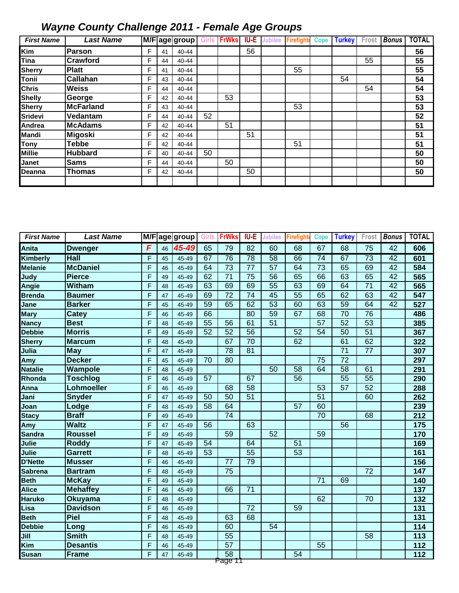| <b>First Name</b> | <b>Last Name</b> |   |    | M/Fage group |    | <b>FrWks</b> | IU-E | <b>Jubilee</b> | <b>Firefighte</b> | <b>Cope</b> | <b>Turkey</b> | Frost | <b>Bonus</b> | <b>TOTAL</b> |
|-------------------|------------------|---|----|--------------|----|--------------|------|----------------|-------------------|-------------|---------------|-------|--------------|--------------|
| <b>Kim</b>        | <b>IParson</b>   | F | 41 | 40-44        |    |              | 56   |                |                   |             |               |       |              | 56           |
| Tina              | <b>Crawford</b>  | F | 44 | 40-44        |    |              |      |                |                   |             |               | 55    |              | 55           |
| <b>Sherry</b>     | <b>Platt</b>     | F | 41 | 40-44        |    |              |      |                | 55                |             |               |       |              | 55           |
| <b>Tonii</b>      | <b>Callahan</b>  | F | 43 | 40-44        |    |              |      |                |                   |             | 54            |       |              | 54           |
| <b>Chris</b>      | <b>Weiss</b>     | F | 44 | 40-44        |    |              |      |                |                   |             |               | 54    |              | 54           |
| <b>Shelly</b>     | George           | F | 42 | 40-44        |    | 53           |      |                |                   |             |               |       |              | 53           |
| <b>Sherry</b>     | <b>McFarland</b> | F | 43 | 40-44        |    |              |      |                | 53                |             |               |       |              | 53           |
| <b>Sridevi</b>    | Vedantam         | F | 44 | 40-44        | 52 |              |      |                |                   |             |               |       |              | 52           |
| Andrea            | <b>McAdams</b>   | F | 42 | 40-44        |    | 51           |      |                |                   |             |               |       |              | 51           |
| <b>Mandi</b>      | Migoski          | F | 42 | 40-44        |    |              | 51   |                |                   |             |               |       |              | 51           |
| Tony              | Tebbe            | F | 42 | 40-44        |    |              |      |                | 51                |             |               |       |              | 51           |
| <b>Millie</b>     | <b>Hubbard</b>   | F | 40 | 40-44        | 50 |              |      |                |                   |             |               |       |              | 50           |
| Janet             | <b>Sams</b>      | F | 44 | 40-44        |    | 50           |      |                |                   |             |               |       |              | 50           |
| <b>Deanna</b>     | <b>Thomas</b>    | F | 42 | 40-44        |    |              | 50   |                |                   |             |               |       |              | 50           |
|                   |                  |   |    |              |    |              |      |                |                   |             |               |       |              |              |

| <b>First Name</b> | <b>Last Name</b> | M/F |    | agegroup | <b>Girls</b>    | <b>FrWks</b>       | IU-E            | <b>Jubilee</b>  | <b>Firefight</b> | <b>Cope</b>     | <b>Turkey</b>   | Frost           | <b>Bonus</b>    | <b>TOTAL</b>     |
|-------------------|------------------|-----|----|----------|-----------------|--------------------|-----------------|-----------------|------------------|-----------------|-----------------|-----------------|-----------------|------------------|
| Anita             | <b>Dwenger</b>   | F   | 46 | 45-49    | 65              | 79                 | 82              | 60              | 68               | 67              | 68              | 75              | 42              | 606              |
| Kimberly          | <b>Hall</b>      | F   | 45 | 45-49    | 67              | 76                 | 78              | $\overline{58}$ | 66               | $\overline{74}$ | 67              | $\overline{73}$ | $\overline{42}$ | 601              |
| <b>Melanie</b>    | <b>McDaniel</b>  | F   | 46 | 45-49    | 64              | $\overline{73}$    | $\overline{77}$ | $\overline{57}$ | 64               | $\overline{73}$ | 65              | 69              | 42              | 584              |
| Judy              | <b>Pierce</b>    | F   | 49 | 45-49    | 62              | $\overline{71}$    | $\overline{75}$ | 56              | 65               | 66              | 63              | 65              | 42              | 565              |
| Angie             | <b>Witham</b>    | F   | 48 | 45-49    | 63              | 69                 | 69              | $\overline{55}$ | 63               | 69              | 64              | $\overline{71}$ | 42              | 565              |
| <b>Brenda</b>     | <b>Baumer</b>    | F   | 47 | 45-49    | 69              | $\overline{72}$    | $\overline{74}$ | 45              | $\overline{55}$  | 65              | 62              | 63              | $\overline{42}$ | 547              |
| Jane              | <b>Barker</b>    | F   | 45 | 45-49    | 59              | 65                 | 62              | $\overline{53}$ | 60               | 63              | $\overline{59}$ | 64              | 42              | 527              |
| <b>Mary</b>       | <b>Catey</b>     | F   | 46 | 45-49    | 66              |                    | 80              | 59              | 67               | 68              | 70              | 76              |                 | 486              |
| <b>Nancy</b>      | <b>Best</b>      | F   | 48 | 45-49    | $\overline{55}$ | 56                 | 61              | 51              |                  | $\overline{57}$ | 52              | 53              |                 | 385              |
| <b>Debbie</b>     | <b>Morris</b>    | F   | 49 | 45-49    | $\overline{52}$ | 52                 | 56              |                 | $\overline{52}$  | 54              | 50              | $\overline{51}$ |                 | 367              |
| Sherry            | <b>Marcum</b>    | F   | 48 | 45-49    |                 | 67                 | $\overline{70}$ |                 | 62               |                 | 61              | 62              |                 | 322              |
| Julia             | <b>May</b>       | F   | 47 | 45-49    |                 | 78                 | $\overline{81}$ |                 |                  |                 | $\overline{71}$ | $\overline{77}$ |                 | 307              |
| Amy               | <b>Decker</b>    | F   | 45 | 45-49    | $\overline{70}$ | $\overline{80}$    |                 |                 |                  | $\overline{75}$ | $\overline{72}$ |                 |                 | 297              |
| <b>Natalie</b>    | Wampole          | F   | 48 | 45-49    |                 |                    |                 | 50              | $\overline{58}$  | 64              | $\overline{58}$ | 61              |                 | 291              |
| Rhonda            | <b>Toschlog</b>  | F   | 46 | 45-49    | $\overline{57}$ |                    | 67              |                 | 56               |                 | $\overline{55}$ | 55              |                 | 290              |
| Anna              | Lohmoeller       | F   | 46 | 45-49    |                 | 68                 | 58              |                 |                  | $\overline{53}$ | $\overline{57}$ | 52              |                 | 288              |
| Jani              | <b>Snyder</b>    | F   | 47 | 45-49    | 50              | $\overline{50}$    | $\overline{51}$ |                 |                  | $\overline{51}$ |                 | 60              |                 | 262              |
| Joan              | Lodge            | F   | 48 | 45-49    | 58              | 64                 |                 |                 | 57               | 60              |                 |                 |                 | 239              |
| <b>Stacy</b>      | <b>Braff</b>     | F   | 49 | 45-49    |                 | $\overline{74}$    |                 |                 |                  | 70              |                 | 68              |                 | 212              |
| Amy               | <b>Waltz</b>     | F   | 47 | 45-49    | 56              |                    | 63              |                 |                  |                 | 56              |                 |                 | 175              |
| <b>Sandra</b>     | <b>Roussel</b>   | F   | 49 | 45-49    |                 | 59                 |                 | $\overline{52}$ |                  | $\overline{59}$ |                 |                 |                 | 170              |
| Julie             | <b>Roddy</b>     | F   | 47 | 45-49    | 54              |                    | 64              |                 | 51               |                 |                 |                 |                 | 169              |
| Julie             | <b>Garrett</b>   | F   | 48 | 45-49    | $\overline{53}$ |                    | $\overline{55}$ |                 | $\overline{53}$  |                 |                 |                 |                 | 161              |
| <b>D'Nette</b>    | <b>Musser</b>    | F   | 46 | 45-49    |                 | 77                 | 79              |                 |                  |                 |                 |                 |                 | 156              |
| <b>Sabrena</b>    | <b>Bartram</b>   | F   | 48 | 45-49    |                 | 75                 |                 |                 |                  |                 |                 | $\overline{72}$ |                 | 147              |
| <b>Beth</b>       | <b>McKay</b>     | F   | 49 | 45-49    |                 |                    |                 |                 |                  | $\overline{71}$ | 69              |                 |                 | 140              |
| Alice             | <b>Mehaffey</b>  | F   | 46 | 45-49    |                 | 66                 | $\overline{71}$ |                 |                  |                 |                 |                 |                 | 137              |
| <b>Haruko</b>     | Okuyama          | F   | 48 | 45-49    |                 |                    |                 |                 |                  | 62              |                 | 70              |                 | 132              |
| Lisa              | <b>Davidson</b>  | F   | 46 | 45-49    |                 |                    | 72              |                 | 59               |                 |                 |                 |                 | 131              |
| <b>Beth</b>       | Piel             | F   | 48 | 45-49    |                 | 63                 | 68              |                 |                  |                 |                 |                 |                 | $\overline{131}$ |
| <b>Debbie</b>     | Long             | F   | 46 | 45-49    |                 | 60                 |                 | 54              |                  |                 |                 |                 |                 | 114              |
| Jill              | <b>Smith</b>     | F   | 48 | 45-49    |                 | $\overline{55}$    |                 |                 |                  |                 |                 | 58              |                 | 113              |
| Kim               | <b>Desantis</b>  | F   | 46 | 45-49    |                 | $\overline{57}$    |                 |                 |                  | 55              |                 |                 |                 | 112              |
| <b>Susan</b>      | <b>Frame</b>     | F   | 47 | 45-49    |                 | $\overline{58}$    |                 |                 | 54               |                 |                 |                 |                 | 112              |
|                   |                  |     |    |          |                 | <del>Page T1</del> |                 |                 |                  |                 |                 |                 |                 |                  |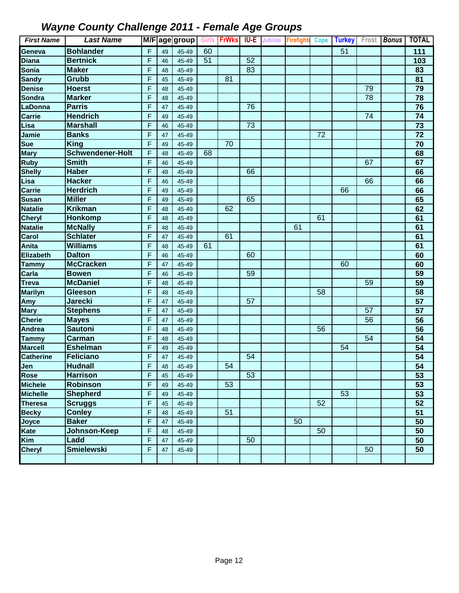| <b>First Name</b> | <b>Last Name</b>        |   |    | M/F age group   Girls   FrWks |    |    | <b>IU-E</b> | Jubilee Firefight |    | Cope Turkey Frost Bonus |                 | <b>TOTAL</b>    |
|-------------------|-------------------------|---|----|-------------------------------|----|----|-------------|-------------------|----|-------------------------|-----------------|-----------------|
| Geneva            | <b>Bohlander</b>        | F | 49 | 45-49                         | 60 |    |             |                   |    | 51                      |                 | 111             |
| <b>Diana</b>      | <b>Bertnick</b>         | F | 46 | 45-49                         | 51 |    | 52          |                   |    |                         |                 | 103             |
| Sonia             | <b>Maker</b>            | F | 48 | 45-49                         |    |    | 83          |                   |    |                         |                 | 83              |
| <b>Sandy</b>      | Grubb                   | F | 45 | 45-49                         |    | 81 |             |                   |    |                         |                 | 81              |
| Denise            | <b>Hoerst</b>           | F | 48 | 45-49                         |    |    |             |                   |    |                         | 79              | $\overline{79}$ |
| Sondra            | <b>Marker</b>           | F | 48 | 45-49                         |    |    |             |                   |    |                         | $\overline{78}$ | 78              |
| LaDonna           | <b>Parris</b>           | F | 47 | 45-49                         |    |    | 76          |                   |    |                         |                 | 76              |
| <b>Carrie</b>     | <b>Hendrich</b>         | F | 49 | 45-49                         |    |    |             |                   |    |                         | 74              | 74              |
| Lisa              | <b>Marshall</b>         | F | 46 | 45-49                         |    |    | 73          |                   |    |                         |                 | $\overline{73}$ |
| Jamie             | <b>Banks</b>            | F | 47 | 45-49                         |    |    |             |                   | 72 |                         |                 | 72              |
| <b>Sue</b>        | <b>King</b>             | F | 49 | 45-49                         |    | 70 |             |                   |    |                         |                 | 70              |
| <b>Mary</b>       | <b>Schwendener-Holt</b> | F | 48 | 45-49                         | 68 |    |             |                   |    |                         |                 | 68              |
| <b>Ruby</b>       | <b>Smith</b>            | F | 46 | 45-49                         |    |    |             |                   |    |                         | 67              | 67              |
| <b>Shelly</b>     | <b>Haber</b>            | F | 48 | 45-49                         |    |    | 66          |                   |    |                         |                 | 66              |
| Lisa              | <b>Hacker</b>           | F | 46 | 45-49                         |    |    |             |                   |    |                         | 66              | 66              |
| <b>Carrie</b>     | <b>Herdrich</b>         | F | 49 | 45-49                         |    |    |             |                   |    | 66                      |                 | 66              |
| <b>Susan</b>      | <b>Miller</b>           | F | 49 | 45-49                         |    |    | 65          |                   |    |                         |                 | 65              |
| <b>Natalie</b>    | <b>Krikman</b>          | F | 48 | 45-49                         |    | 62 |             |                   |    |                         |                 | 62              |
| <b>Cheryl</b>     | Honkomp                 | F | 48 | 45-49                         |    |    |             |                   | 61 |                         |                 | 61              |
| <b>Natalie</b>    | <b>McNally</b>          | F | 48 | 45-49                         |    |    |             | 61                |    |                         |                 | 61              |
| Carol             | <b>Schlater</b>         | F | 47 | 45-49                         |    | 61 |             |                   |    |                         |                 | 61              |
| Anita             | <b>Williams</b>         | F | 48 | 45-49                         | 61 |    |             |                   |    |                         |                 | 61              |
| Elizabeth         | <b>Dalton</b>           | F | 46 | 45-49                         |    |    | 60          |                   |    |                         |                 | 60              |
| <b>Tammy</b>      | <b>McCracken</b>        | F | 47 | 45-49                         |    |    |             |                   |    | 60                      |                 | 60              |
| Carla             | <b>Bowen</b>            | F | 46 | 45-49                         |    |    | 59          |                   |    |                         |                 | 59              |
| <b>Treva</b>      | <b>McDaniel</b>         | F | 48 | 45-49                         |    |    |             |                   |    |                         | 59              | 59              |
| <b>Marilyn</b>    | <b>Gleeson</b>          | F | 48 | 45-49                         |    |    |             |                   | 58 |                         |                 | 58              |
| Amy               | <b>Jarecki</b>          | F | 47 | 45-49                         |    |    | 57          |                   |    |                         |                 | 57              |
| <b>Mary</b>       | <b>Stephens</b>         | F | 47 | 45-49                         |    |    |             |                   |    |                         | 57              | 57              |
| <b>Cherie</b>     | <b>Mayes</b>            | F | 47 | 45-49                         |    |    |             |                   |    |                         | 56              | $\overline{56}$ |
| <b>Andrea</b>     | <b>Sautoni</b>          | F | 48 | 45-49                         |    |    |             |                   | 56 |                         |                 | 56              |
| <b>Tammy</b>      | <b>Carman</b>           | F | 48 | 45-49                         |    |    |             |                   |    |                         | 54              | $\overline{54}$ |
| <b>Marcell</b>    | <b>Eshelman</b>         | F | 49 | 45-49                         |    |    |             |                   |    | 54                      |                 | 54              |
| <b>Catherine</b>  | <b>Feliciano</b>        | F | 47 | 45-49                         |    |    | 54          |                   |    |                         |                 | 54              |
| Jen               | <b>Hudnall</b>          | F | 48 | 45-49                         |    | 54 |             |                   |    |                         |                 | 54              |
| <b>Rose</b>       | <b>Harrison</b>         | F | 45 | 45-49                         |    |    | 53          |                   |    |                         |                 | 53              |
| <b>Michele</b>    | <b>Robinson</b>         | F | 49 | 45-49                         |    | 53 |             |                   |    |                         |                 | 53              |
| <b>Michelle</b>   | <b>Shepherd</b>         | F | 49 | 45-49                         |    |    |             |                   |    | 53                      |                 | 53              |
| <b>Theresa</b>    | <b>Scruggs</b>          | F | 45 | 45-49                         |    |    |             |                   | 52 |                         |                 | 52              |
| <b>Becky</b>      | <b>Conley</b>           | F | 48 | 45-49                         |    | 51 |             |                   |    |                         |                 | 51              |
| Joyce             | <b>Baker</b>            | F | 47 | 45-49                         |    |    |             | 50                |    |                         |                 | 50              |
| Kate              | Johnson-Keep            | F | 48 | 45-49                         |    |    |             |                   | 50 |                         |                 | 50              |
| Kim               | Ladd                    | F | 47 | 45-49                         |    |    | 50          |                   |    |                         |                 | 50              |
| <b>Cheryl</b>     | <b>Smielewski</b>       | F | 47 | 45-49                         |    |    |             |                   |    |                         | 50              | 50              |
|                   |                         |   |    |                               |    |    |             |                   |    |                         |                 |                 |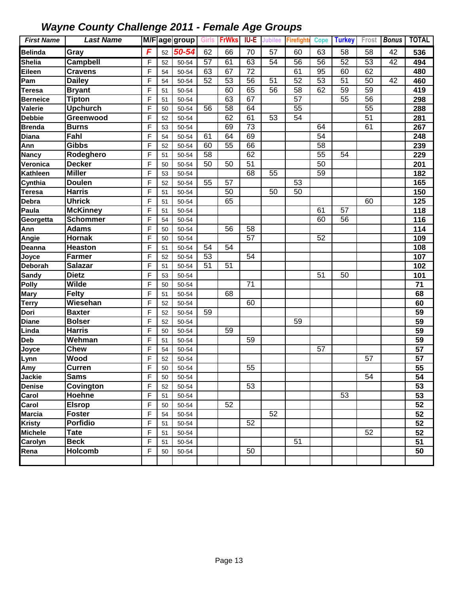| <b>First Name</b> | <b>Last Name</b>               |                |    | M/F age group Girls FrWks |    |    | IU-E | <b>Jubilee</b>  | <b>Firefighte</b> | <b>Cope</b>     | <b>Turkey</b>   |    |    | Frost <b>Bonus</b>   TOTAL |
|-------------------|--------------------------------|----------------|----|---------------------------|----|----|------|-----------------|-------------------|-----------------|-----------------|----|----|----------------------------|
| <b>Belinda</b>    | Gray                           | F              | 52 | 50-54                     | 62 | 66 | 70   | 57              | 60                | 63              | 58              | 58 | 42 | 536                        |
| <b>Shelia</b>     | <b>Campbell</b>                | F              | 52 | 50-54                     | 57 | 61 | 63   | 54              | 56                | 56              | 52              | 53 | 42 | 494                        |
| Eileen            | <b>Cravens</b>                 | F              | 54 | 50-54                     | 63 | 67 | 72   |                 | 61                | 95              | 60              | 62 |    | 480                        |
| Pam               | <b>Dailey</b>                  | F              | 54 | 50-54                     | 52 | 53 | 56   | 51              | 52                | 53              | 51              | 50 | 42 | 460                        |
| <b>Teresa</b>     | <b>Bryant</b>                  | F              | 51 | 50-54                     |    | 60 | 65   | 56              | 58                | 62              | 59              | 59 |    | 419                        |
| <b>Berneice</b>   | <b>Tipton</b>                  | F              | 51 | 50-54                     |    | 63 | 67   |                 | 57                |                 | 55              | 56 |    | 298                        |
| Valerie           | <b>Upchurch</b>                | F              | 50 | 50-54                     | 56 | 58 | 64   |                 | 55                |                 |                 | 55 |    | 288                        |
| <b>Debbie</b>     | Greenwood                      | F              | 52 | 50-54                     |    | 62 | 61   | 53              | 54                |                 |                 | 51 |    | 281                        |
| <b>Brenda</b>     | <b>Burns</b>                   | F              | 53 | 50-54                     |    | 69 | 73   |                 |                   | 64              |                 | 61 |    | 267                        |
| Diana             | Fahl                           | F              | 54 | 50-54                     | 61 | 64 | 69   |                 |                   | $\overline{54}$ |                 |    |    | 248                        |
| Ann               | <b>Gibbs</b>                   | F              | 52 | 50-54                     | 60 | 55 | 66   |                 |                   | 58              |                 |    |    | 239                        |
| <b>Nancy</b>      | Rodeghero                      | F              | 51 | 50-54                     | 58 |    | 62   |                 |                   | 55              | $\overline{54}$ |    |    | 229                        |
| Veronica          | <b>Decker</b>                  | F              | 50 | 50-54                     | 50 | 50 | 51   |                 |                   | 50              |                 |    |    | 201                        |
| Kathleen          | <b>Miller</b>                  | F              | 53 | 50-54                     |    |    | 68   | $\overline{55}$ |                   | 59              |                 |    |    | 182                        |
| Cynthia           | <b>Doulen</b>                  | F              | 52 | 50-54                     | 55 | 57 |      |                 | 53                |                 |                 |    |    | 165                        |
| <b>Teresa</b>     | <b>Harris</b>                  | $\overline{F}$ | 51 | 50-54                     |    | 50 |      | 50              | 50                |                 |                 |    |    | 150                        |
| Debra             | <b>Uhrick</b>                  | $\mathsf{F}$   | 51 | 50-54                     |    | 65 |      |                 |                   |                 |                 | 60 |    | 125                        |
| Paula             | <b>McKinney</b>                | F              | 51 | 50-54                     |    |    |      |                 |                   | 61              | 57              |    |    | 118                        |
| Georgetta         | <b>Schommer</b>                | F              | 54 | 50-54                     |    |    |      |                 |                   | 60              | 56              |    |    | 116                        |
| Ann               | <b>Adams</b>                   | F              | 50 | 50-54                     |    | 56 | 58   |                 |                   |                 |                 |    |    | 114                        |
| Angie             | <b>Hornak</b>                  | F              | 50 | 50-54                     |    |    | 57   |                 |                   | 52              |                 |    |    | 109                        |
| Deanna            | <b>Heaston</b>                 | F              | 51 | 50-54                     | 54 | 54 |      |                 |                   |                 |                 |    |    | 108                        |
| Joyce             | <b>Farmer</b>                  | F              | 52 | 50-54                     | 53 |    | 54   |                 |                   |                 |                 |    |    | 107                        |
| Deborah           | <b>Salazar</b>                 | F              | 51 | 50-54                     | 51 | 51 |      |                 |                   |                 |                 |    |    | 102                        |
| <b>Sandy</b>      | <b>Dietz</b>                   | F              | 53 | 50-54                     |    |    |      |                 |                   | 51              | 50              |    |    | 101                        |
| Polly             | Wilde                          | F              | 50 | 50-54                     |    |    | 71   |                 |                   |                 |                 |    |    | 71                         |
| <b>Mary</b>       | <b>Felty</b>                   | F              | 51 | 50-54                     |    | 68 |      |                 |                   |                 |                 |    |    | 68                         |
| Terry             | Wiesehan                       | F              | 52 | 50-54                     |    |    | 60   |                 |                   |                 |                 |    |    | 60                         |
| Dori              | <b>Baxter</b>                  | F              | 52 | 50-54                     | 59 |    |      |                 |                   |                 |                 |    |    | 59                         |
| <b>Diane</b>      | <b>Bolser</b>                  | F              | 52 | 50-54                     |    |    |      |                 | 59                |                 |                 |    |    | 59                         |
| Linda             | <b>Harris</b>                  | F              | 50 | 50-54                     |    | 59 |      |                 |                   |                 |                 |    |    | 59                         |
| Deb               | Wehman                         | F              | 51 | 50-54                     |    |    | 59   |                 |                   |                 |                 |    |    | 59                         |
| Joyce             | <b>Chew</b>                    | $\mathsf{F}$   | 54 | 50-54                     |    |    |      |                 |                   | 57              |                 |    |    | 57                         |
| Lynn              | Wood                           | F              | 52 | 50-54                     |    |    |      |                 |                   |                 |                 | 57 |    | 57                         |
| Amy               | <b>Curren</b>                  | F              | 50 | 50-54                     |    |    | 55   |                 |                   |                 |                 |    |    | 55                         |
| Jackie            | <b>Sams</b>                    | $\mathsf F$    | 50 | 50-54                     |    |    |      |                 |                   |                 |                 | 54 |    | 54                         |
| <b>Denise</b>     | Covington                      | F              | 52 | 50-54                     |    |    | 53   |                 |                   |                 |                 |    |    | 53                         |
| Carol             | Hoehne                         | F              | 51 | 50-54                     |    | 52 |      |                 |                   |                 | $\overline{53}$ |    |    | 53                         |
| Carol             | <b>Elsrop</b><br><b>Foster</b> | F              | 50 | 50-54                     |    |    |      | 52              |                   |                 |                 |    |    | 52                         |
| <b>Marcia</b>     | <b>Porfidio</b>                | $\mathsf{F}$   | 54 | 50-54                     |    |    |      |                 |                   |                 |                 |    |    | $\overline{52}$            |
| Kristy            |                                | $\mathsf{F}$   | 51 | 50-54                     |    |    | 52   |                 |                   |                 |                 | 52 |    | 52                         |
| <b>Michele</b>    | <b>Tate</b>                    | $\mathsf{F}$   | 51 | 50-54                     |    |    |      |                 | $\overline{51}$   |                 |                 |    |    | $\overline{52}$            |
| Carolyn           | <b>Beck</b><br><b>Holcomb</b>  | $\mathsf{F}$   | 51 | 50-54                     |    |    | 50   |                 |                   |                 |                 |    |    | 51                         |
| Rena              |                                | F              | 50 | 50-54                     |    |    |      |                 |                   |                 |                 |    |    | 50                         |
|                   |                                |                |    |                           |    |    |      |                 |                   |                 |                 |    |    |                            |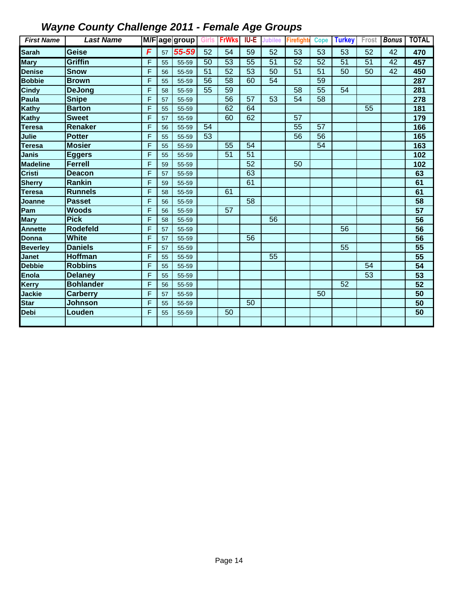| <b>First Name</b> | <b>Last Name</b> |   |    |       |                 |                 |                 |                 | M/F age group Girls FrWks IU-E Jubilee Firefight | <b>Cope</b>     | <b>Turkey</b>   |                 |    | Frost   Bonus   TOTAL |
|-------------------|------------------|---|----|-------|-----------------|-----------------|-----------------|-----------------|--------------------------------------------------|-----------------|-----------------|-----------------|----|-----------------------|
| Sarah             | Geise            | F | 57 | 55-59 | 52              | 54              | 59              | 52              | 53                                               | 53              | 53              | 52              | 42 | 470                   |
| <b>Mary</b>       | Griffin          | F | 55 | 55-59 | 50              | 53              | 55              | $\overline{51}$ | 52                                               | 52              | $\overline{51}$ | 51              | 42 | 457                   |
| <b>Denise</b>     | <b>Snow</b>      | F | 56 | 55-59 | 51              | 52              | 53              | 50              | 51                                               | 51              | 50              | 50              | 42 | 450                   |
| <b>Bobbie</b>     | <b>Brown</b>     | F | 55 | 55-59 | 56              | 58              | 60              | 54              |                                                  | 59              |                 |                 |    | 287                   |
| <b>Cindy</b>      | <b>DeJong</b>    | F | 58 | 55-59 | 55              | 59              |                 |                 | 58                                               | 55              | 54              |                 |    | 281                   |
| Paula             | <b>Snipe</b>     | F | 57 | 55-59 |                 | 56              | 57              | 53              | 54                                               | 58              |                 |                 |    | 278                   |
| Kathy             | <b>Barton</b>    | F | 55 | 55-59 |                 | 62              | 64              |                 |                                                  |                 |                 | 55              |    | 181                   |
| Kathy             | <b>Sweet</b>     | F | 57 | 55-59 |                 | 60              | 62              |                 | 57                                               |                 |                 |                 |    | 179                   |
| <b>Teresa</b>     | Renaker          | F | 56 | 55-59 | 54              |                 |                 |                 | $\overline{55}$                                  | 57              |                 |                 |    | 166                   |
| Julie             | <b>Potter</b>    | F | 55 | 55-59 | $\overline{53}$ |                 |                 |                 | $\overline{56}$                                  | $\overline{56}$ |                 |                 |    | 165                   |
| Teresa            | <b>Mosier</b>    | F | 55 | 55-59 |                 | 55              | 54              |                 |                                                  | 54              |                 |                 |    | 163                   |
| Janis             | <b>Eggers</b>    | F | 55 | 55-59 |                 | $\overline{51}$ | $\overline{51}$ |                 |                                                  |                 |                 |                 |    | 102                   |
| <b>Madeline</b>   | <b>Ferrell</b>   | F | 59 | 55-59 |                 |                 | $\overline{52}$ |                 | 50                                               |                 |                 |                 |    | 102                   |
| Cristi            | <b>Deacon</b>    | F | 57 | 55-59 |                 |                 | 63              |                 |                                                  |                 |                 |                 |    | 63                    |
| <b>Sherry</b>     | Rankin           | F | 59 | 55-59 |                 |                 | 61              |                 |                                                  |                 |                 |                 |    | 61                    |
| <b>Teresa</b>     | <b>Runnels</b>   | F | 58 | 55-59 |                 | 61              |                 |                 |                                                  |                 |                 |                 |    | 61                    |
| Joanne            | <b>Passet</b>    | F | 56 | 55-59 |                 |                 | 58              |                 |                                                  |                 |                 |                 |    | 58                    |
| Pam               | <b>Woods</b>     | F | 56 | 55-59 |                 | 57              |                 |                 |                                                  |                 |                 |                 |    | $\overline{57}$       |
| <b>Mary</b>       | <b>Pick</b>      | F | 58 | 55-59 |                 |                 |                 | 56              |                                                  |                 |                 |                 |    | 56                    |
| <b>Annette</b>    | <b>Rodefeld</b>  | F | 57 | 55-59 |                 |                 |                 |                 |                                                  |                 | 56              |                 |    | 56                    |
| <b>Donna</b>      | <b>White</b>     | F | 57 | 55-59 |                 |                 | 56              |                 |                                                  |                 |                 |                 |    | 56                    |
| <b>Beverley</b>   | <b>Daniels</b>   | F | 57 | 55-59 |                 |                 |                 |                 |                                                  |                 | 55              |                 |    | $\overline{55}$       |
| <b>Janet</b>      | <b>Hoffman</b>   | F | 55 | 55-59 |                 |                 |                 | 55              |                                                  |                 |                 |                 |    | 55                    |
| Debbie            | <b>Robbins</b>   | F | 55 | 55-59 |                 |                 |                 |                 |                                                  |                 |                 | 54              |    | 54                    |
| <b>Enola</b>      | <b>Delaney</b>   | F | 55 | 55-59 |                 |                 |                 |                 |                                                  |                 |                 | $\overline{53}$ |    | 53                    |
| Kerry             | <b>Bohlander</b> | F | 56 | 55-59 |                 |                 |                 |                 |                                                  |                 | 52              |                 |    | 52                    |
| Jackie            | <b>Carberry</b>  | F | 57 | 55-59 |                 |                 |                 |                 |                                                  | 50              |                 |                 |    | $\overline{50}$       |
| <b>Star</b>       | Johnson          | F | 55 | 55-59 |                 |                 | 50              |                 |                                                  |                 |                 |                 |    | 50                    |
| <b>Debi</b>       | Louden           | F | 55 | 55-59 |                 | 50              |                 |                 |                                                  |                 |                 |                 |    | 50                    |
|                   |                  |   |    |       |                 |                 |                 |                 |                                                  |                 |                 |                 |    |                       |